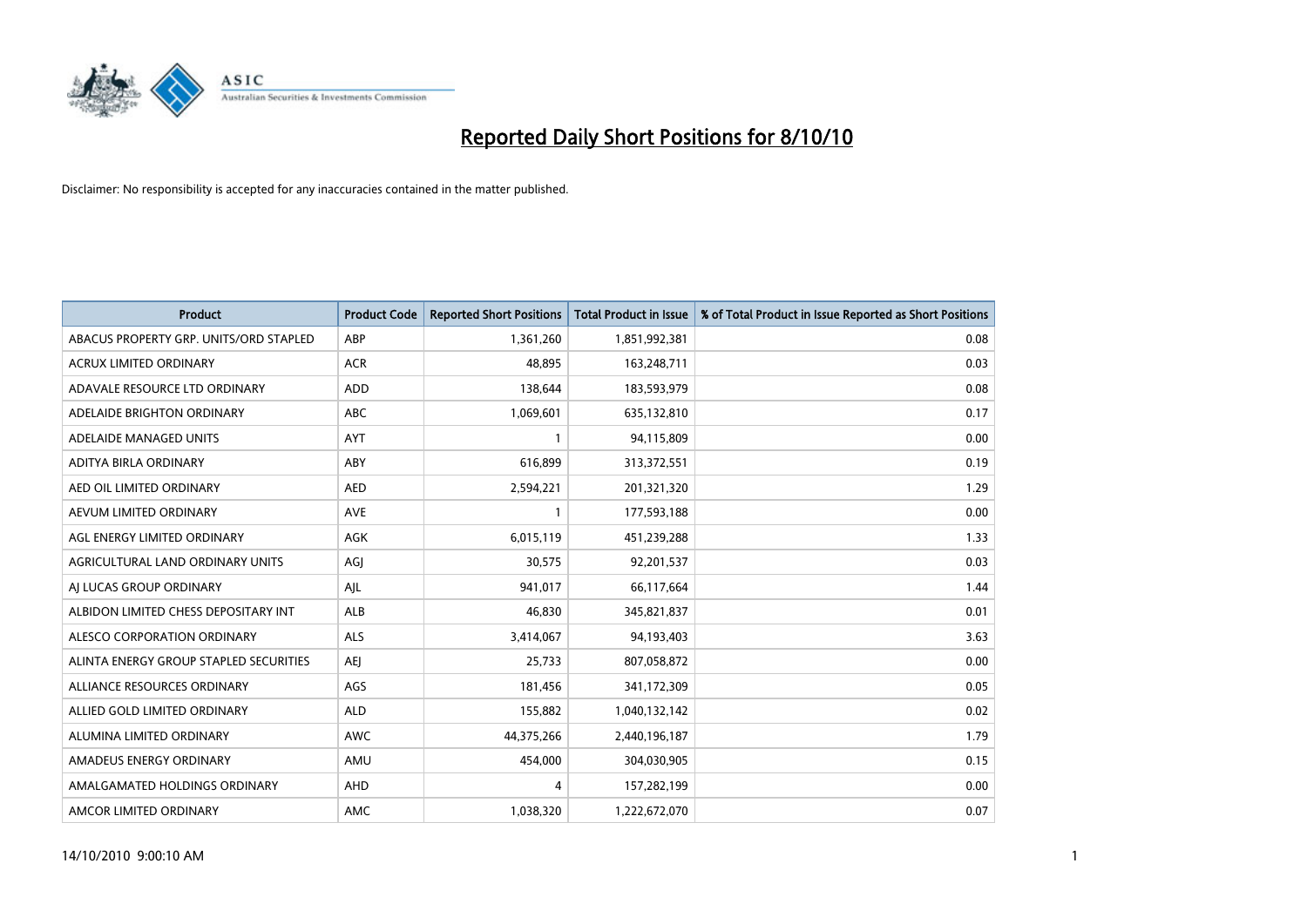

| <b>Product</b>                         | <b>Product Code</b> | <b>Reported Short Positions</b> | Total Product in Issue | % of Total Product in Issue Reported as Short Positions |
|----------------------------------------|---------------------|---------------------------------|------------------------|---------------------------------------------------------|
| ABACUS PROPERTY GRP. UNITS/ORD STAPLED | ABP                 | 1,361,260                       | 1,851,992,381          | 0.08                                                    |
| <b>ACRUX LIMITED ORDINARY</b>          | <b>ACR</b>          | 48.895                          | 163,248,711            | 0.03                                                    |
| ADAVALE RESOURCE LTD ORDINARY          | <b>ADD</b>          | 138,644                         | 183,593,979            | 0.08                                                    |
| ADELAIDE BRIGHTON ORDINARY             | <b>ABC</b>          | 1,069,601                       | 635,132,810            | 0.17                                                    |
| ADELAIDE MANAGED UNITS                 | <b>AYT</b>          |                                 | 94,115,809             | 0.00                                                    |
| ADITYA BIRLA ORDINARY                  | ABY                 | 616,899                         | 313,372,551            | 0.19                                                    |
| AED OIL LIMITED ORDINARY               | <b>AED</b>          | 2,594,221                       | 201,321,320            | 1.29                                                    |
| AEVUM LIMITED ORDINARY                 | <b>AVE</b>          |                                 | 177,593,188            | 0.00                                                    |
| AGL ENERGY LIMITED ORDINARY            | <b>AGK</b>          | 6,015,119                       | 451,239,288            | 1.33                                                    |
| AGRICULTURAL LAND ORDINARY UNITS       | AGI                 | 30,575                          | 92,201,537             | 0.03                                                    |
| AI LUCAS GROUP ORDINARY                | AJL                 | 941,017                         | 66,117,664             | 1.44                                                    |
| ALBIDON LIMITED CHESS DEPOSITARY INT   | ALB                 | 46,830                          | 345,821,837            | 0.01                                                    |
| ALESCO CORPORATION ORDINARY            | <b>ALS</b>          | 3,414,067                       | 94,193,403             | 3.63                                                    |
| ALINTA ENERGY GROUP STAPLED SECURITIES | <b>AEI</b>          | 25.733                          | 807,058,872            | 0.00                                                    |
| ALLIANCE RESOURCES ORDINARY            | AGS                 | 181,456                         | 341,172,309            | 0.05                                                    |
| ALLIED GOLD LIMITED ORDINARY           | <b>ALD</b>          | 155,882                         | 1,040,132,142          | 0.02                                                    |
| ALUMINA LIMITED ORDINARY               | <b>AWC</b>          | 44,375,266                      | 2,440,196,187          | 1.79                                                    |
| AMADEUS ENERGY ORDINARY                | AMU                 | 454,000                         | 304,030,905            | 0.15                                                    |
| AMALGAMATED HOLDINGS ORDINARY          | <b>AHD</b>          | 4                               | 157,282,199            | 0.00                                                    |
| AMCOR LIMITED ORDINARY                 | <b>AMC</b>          | 1,038,320                       | 1,222,672,070          | 0.07                                                    |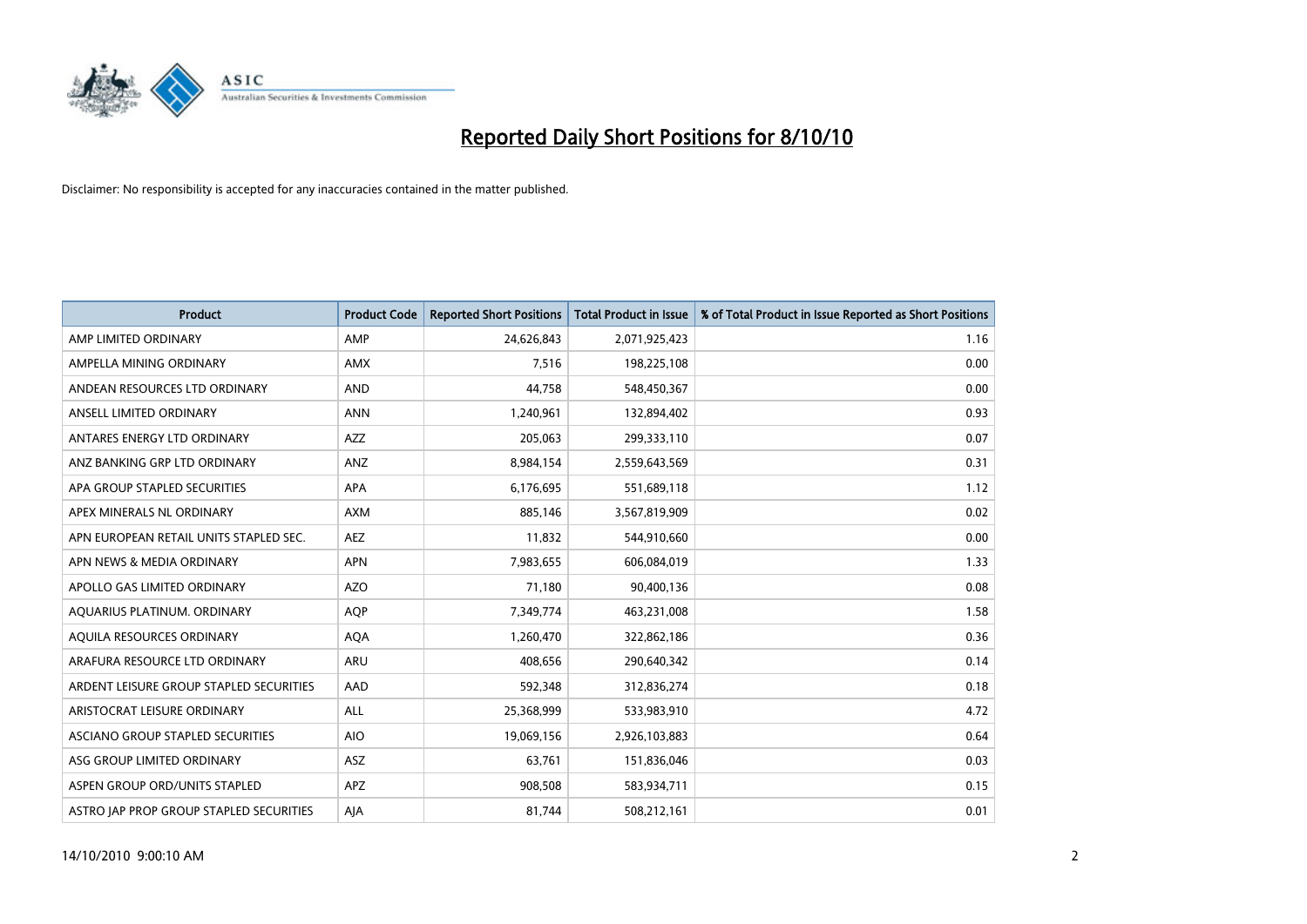

| <b>Product</b>                          | <b>Product Code</b> | <b>Reported Short Positions</b> | Total Product in Issue | % of Total Product in Issue Reported as Short Positions |
|-----------------------------------------|---------------------|---------------------------------|------------------------|---------------------------------------------------------|
| AMP LIMITED ORDINARY                    | AMP                 | 24,626,843                      | 2,071,925,423          | 1.16                                                    |
| AMPELLA MINING ORDINARY                 | <b>AMX</b>          | 7,516                           | 198,225,108            | 0.00                                                    |
| ANDEAN RESOURCES LTD ORDINARY           | <b>AND</b>          | 44,758                          | 548,450,367            | 0.00                                                    |
| ANSELL LIMITED ORDINARY                 | <b>ANN</b>          | 1,240,961                       | 132,894,402            | 0.93                                                    |
| ANTARES ENERGY LTD ORDINARY             | <b>AZZ</b>          | 205.063                         | 299,333,110            | 0.07                                                    |
| ANZ BANKING GRP LTD ORDINARY            | ANZ                 | 8,984,154                       | 2,559,643,569          | 0.31                                                    |
| APA GROUP STAPLED SECURITIES            | <b>APA</b>          | 6,176,695                       | 551,689,118            | 1.12                                                    |
| APEX MINERALS NL ORDINARY               | <b>AXM</b>          | 885,146                         | 3,567,819,909          | 0.02                                                    |
| APN EUROPEAN RETAIL UNITS STAPLED SEC.  | <b>AEZ</b>          | 11,832                          | 544,910,660            | 0.00                                                    |
| APN NEWS & MEDIA ORDINARY               | <b>APN</b>          | 7,983,655                       | 606,084,019            | 1.33                                                    |
| APOLLO GAS LIMITED ORDINARY             | <b>AZO</b>          | 71,180                          | 90,400,136             | 0.08                                                    |
| AQUARIUS PLATINUM. ORDINARY             | <b>AOP</b>          | 7,349,774                       | 463,231,008            | 1.58                                                    |
| AQUILA RESOURCES ORDINARY               | <b>AQA</b>          | 1,260,470                       | 322,862,186            | 0.36                                                    |
| ARAFURA RESOURCE LTD ORDINARY           | <b>ARU</b>          | 408.656                         | 290,640,342            | 0.14                                                    |
| ARDENT LEISURE GROUP STAPLED SECURITIES | AAD                 | 592,348                         | 312,836,274            | 0.18                                                    |
| ARISTOCRAT LEISURE ORDINARY             | <b>ALL</b>          | 25,368,999                      | 533,983,910            | 4.72                                                    |
| ASCIANO GROUP STAPLED SECURITIES        | <b>AIO</b>          | 19,069,156                      | 2,926,103,883          | 0.64                                                    |
| ASG GROUP LIMITED ORDINARY              | <b>ASZ</b>          | 63,761                          | 151,836,046            | 0.03                                                    |
| ASPEN GROUP ORD/UNITS STAPLED           | <b>APZ</b>          | 908,508                         | 583,934,711            | 0.15                                                    |
| ASTRO JAP PROP GROUP STAPLED SECURITIES | AJA                 | 81,744                          | 508,212,161            | 0.01                                                    |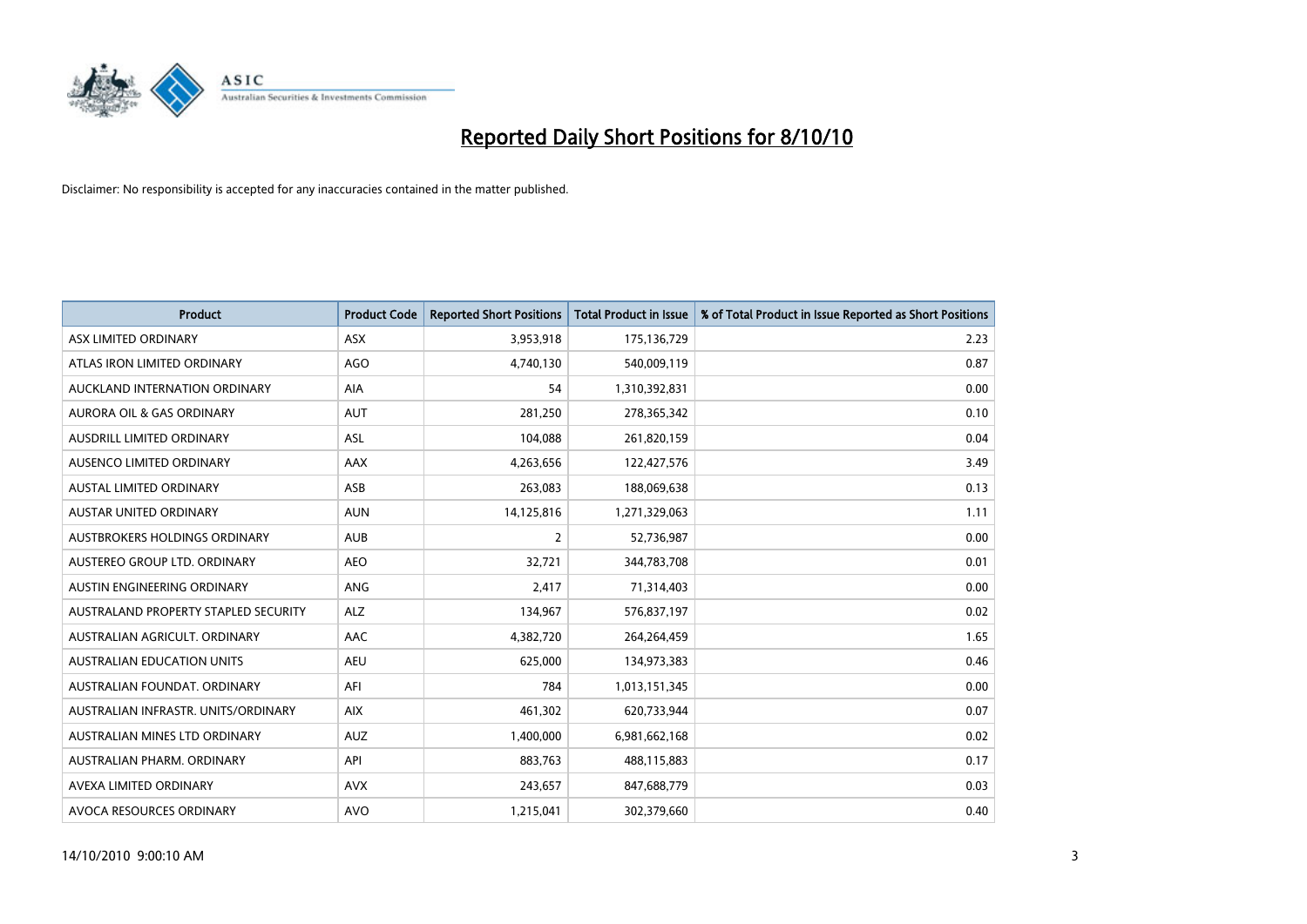

| <b>Product</b>                       | <b>Product Code</b> | <b>Reported Short Positions</b> | Total Product in Issue | % of Total Product in Issue Reported as Short Positions |
|--------------------------------------|---------------------|---------------------------------|------------------------|---------------------------------------------------------|
| ASX LIMITED ORDINARY                 | <b>ASX</b>          | 3,953,918                       | 175,136,729            | 2.23                                                    |
| ATLAS IRON LIMITED ORDINARY          | AGO                 | 4,740,130                       | 540,009,119            | 0.87                                                    |
| AUCKLAND INTERNATION ORDINARY        | AIA                 | 54                              | 1,310,392,831          | 0.00                                                    |
| AURORA OIL & GAS ORDINARY            | <b>AUT</b>          | 281,250                         | 278,365,342            | 0.10                                                    |
| AUSDRILL LIMITED ORDINARY            | <b>ASL</b>          | 104,088                         | 261,820,159            | 0.04                                                    |
| AUSENCO LIMITED ORDINARY             | AAX                 | 4,263,656                       | 122,427,576            | 3.49                                                    |
| <b>AUSTAL LIMITED ORDINARY</b>       | ASB                 | 263,083                         | 188,069,638            | 0.13                                                    |
| <b>AUSTAR UNITED ORDINARY</b>        | <b>AUN</b>          | 14,125,816                      | 1,271,329,063          | 1.11                                                    |
| AUSTBROKERS HOLDINGS ORDINARY        | <b>AUB</b>          | 2                               | 52,736,987             | 0.00                                                    |
| AUSTEREO GROUP LTD. ORDINARY         | <b>AEO</b>          | 32,721                          | 344,783,708            | 0.01                                                    |
| AUSTIN ENGINEERING ORDINARY          | ANG                 | 2,417                           | 71,314,403             | 0.00                                                    |
| AUSTRALAND PROPERTY STAPLED SECURITY | <b>ALZ</b>          | 134,967                         | 576,837,197            | 0.02                                                    |
| AUSTRALIAN AGRICULT, ORDINARY        | AAC                 | 4,382,720                       | 264,264,459            | 1.65                                                    |
| <b>AUSTRALIAN EDUCATION UNITS</b>    | <b>AEU</b>          | 625,000                         | 134,973,383            | 0.46                                                    |
| AUSTRALIAN FOUNDAT, ORDINARY         | AFI                 | 784                             | 1,013,151,345          | 0.00                                                    |
| AUSTRALIAN INFRASTR. UNITS/ORDINARY  | <b>AIX</b>          | 461,302                         | 620,733,944            | 0.07                                                    |
| AUSTRALIAN MINES LTD ORDINARY        | <b>AUZ</b>          | 1,400,000                       | 6,981,662,168          | 0.02                                                    |
| AUSTRALIAN PHARM. ORDINARY           | API                 | 883,763                         | 488,115,883            | 0.17                                                    |
| AVEXA LIMITED ORDINARY               | <b>AVX</b>          | 243,657                         | 847,688,779            | 0.03                                                    |
| AVOCA RESOURCES ORDINARY             | <b>AVO</b>          | 1,215,041                       | 302,379,660            | 0.40                                                    |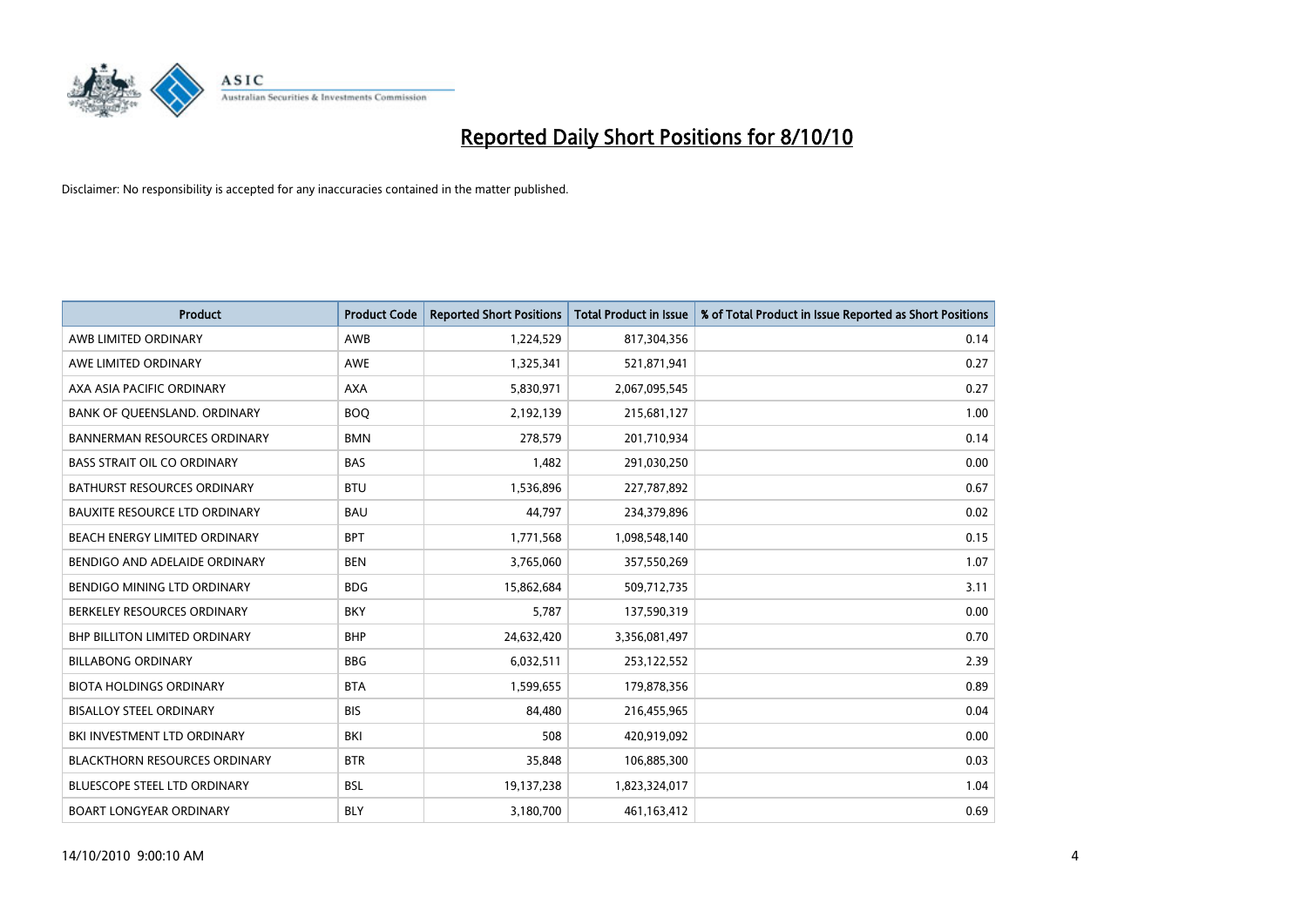

| <b>Product</b>                       | <b>Product Code</b> | <b>Reported Short Positions</b> | <b>Total Product in Issue</b> | % of Total Product in Issue Reported as Short Positions |
|--------------------------------------|---------------------|---------------------------------|-------------------------------|---------------------------------------------------------|
| AWB LIMITED ORDINARY                 | AWB                 | 1,224,529                       | 817,304,356                   | 0.14                                                    |
| AWE LIMITED ORDINARY                 | <b>AWE</b>          | 1,325,341                       | 521,871,941                   | 0.27                                                    |
| AXA ASIA PACIFIC ORDINARY            | <b>AXA</b>          | 5,830,971                       | 2,067,095,545                 | 0.27                                                    |
| BANK OF QUEENSLAND. ORDINARY         | <b>BOO</b>          | 2,192,139                       | 215,681,127                   | 1.00                                                    |
| <b>BANNERMAN RESOURCES ORDINARY</b>  | <b>BMN</b>          | 278,579                         | 201,710,934                   | 0.14                                                    |
| <b>BASS STRAIT OIL CO ORDINARY</b>   | <b>BAS</b>          | 1.482                           | 291,030,250                   | 0.00                                                    |
| BATHURST RESOURCES ORDINARY          | <b>BTU</b>          | 1,536,896                       | 227,787,892                   | 0.67                                                    |
| <b>BAUXITE RESOURCE LTD ORDINARY</b> | <b>BAU</b>          | 44,797                          | 234,379,896                   | 0.02                                                    |
| BEACH ENERGY LIMITED ORDINARY        | <b>BPT</b>          | 1,771,568                       | 1,098,548,140                 | 0.15                                                    |
| BENDIGO AND ADELAIDE ORDINARY        | <b>BEN</b>          | 3,765,060                       | 357,550,269                   | 1.07                                                    |
| BENDIGO MINING LTD ORDINARY          | <b>BDG</b>          | 15,862,684                      | 509,712,735                   | 3.11                                                    |
| BERKELEY RESOURCES ORDINARY          | <b>BKY</b>          | 5,787                           | 137,590,319                   | 0.00                                                    |
| <b>BHP BILLITON LIMITED ORDINARY</b> | <b>BHP</b>          | 24,632,420                      | 3,356,081,497                 | 0.70                                                    |
| <b>BILLABONG ORDINARY</b>            | <b>BBG</b>          | 6,032,511                       | 253,122,552                   | 2.39                                                    |
| <b>BIOTA HOLDINGS ORDINARY</b>       | <b>BTA</b>          | 1,599,655                       | 179,878,356                   | 0.89                                                    |
| <b>BISALLOY STEEL ORDINARY</b>       | <b>BIS</b>          | 84,480                          | 216,455,965                   | 0.04                                                    |
| BKI INVESTMENT LTD ORDINARY          | BKI                 | 508                             | 420,919,092                   | 0.00                                                    |
| <b>BLACKTHORN RESOURCES ORDINARY</b> | <b>BTR</b>          | 35,848                          | 106,885,300                   | 0.03                                                    |
| BLUESCOPE STEEL LTD ORDINARY         | <b>BSL</b>          | 19,137,238                      | 1,823,324,017                 | 1.04                                                    |
| <b>BOART LONGYEAR ORDINARY</b>       | <b>BLY</b>          | 3,180,700                       | 461,163,412                   | 0.69                                                    |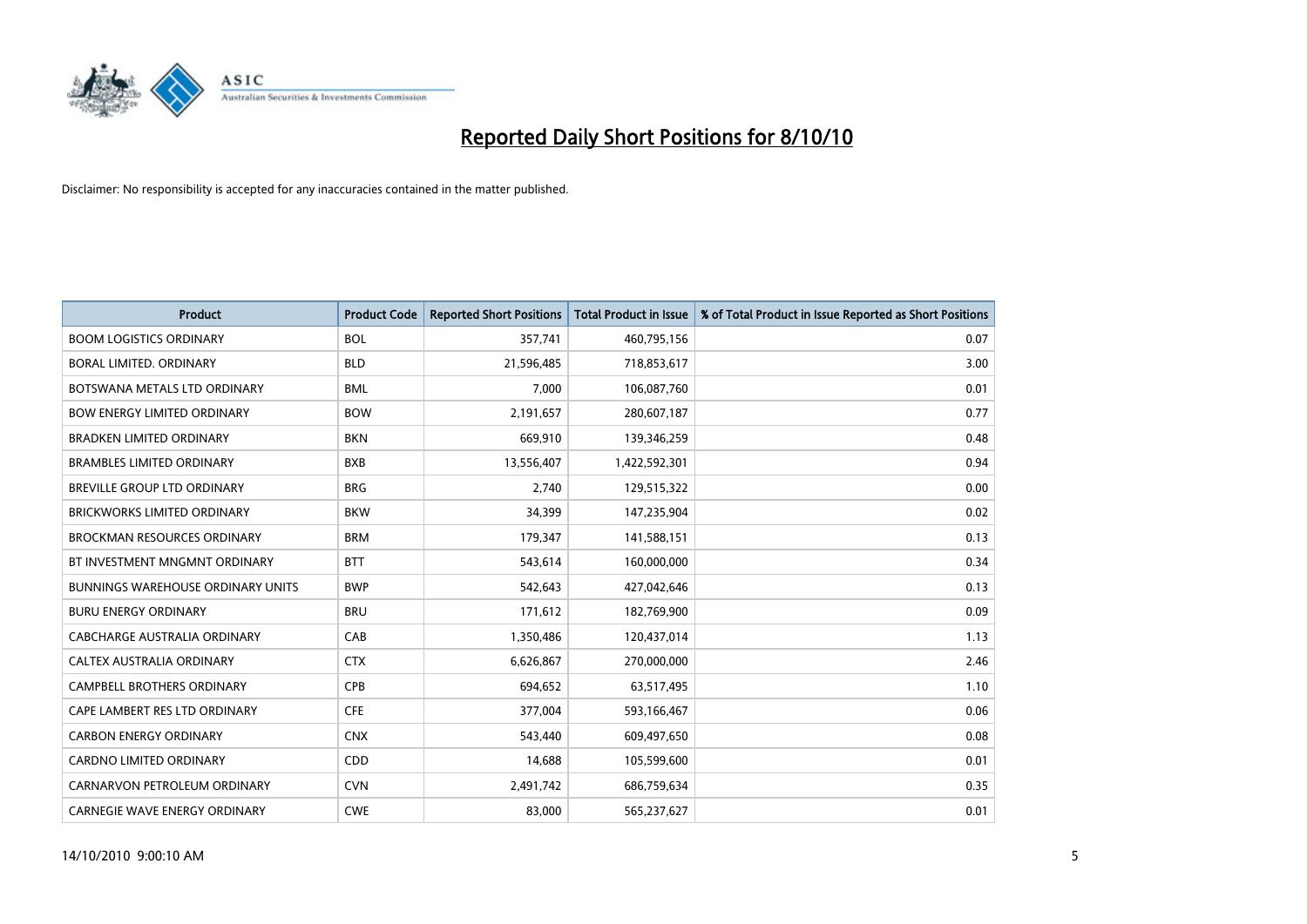

| <b>Product</b>                           | <b>Product Code</b> | <b>Reported Short Positions</b> | <b>Total Product in Issue</b> | % of Total Product in Issue Reported as Short Positions |
|------------------------------------------|---------------------|---------------------------------|-------------------------------|---------------------------------------------------------|
| <b>BOOM LOGISTICS ORDINARY</b>           | <b>BOL</b>          | 357,741                         | 460,795,156                   | 0.07                                                    |
| BORAL LIMITED. ORDINARY                  | <b>BLD</b>          | 21,596,485                      | 718,853,617                   | 3.00                                                    |
| BOTSWANA METALS LTD ORDINARY             | <b>BML</b>          | 7,000                           | 106,087,760                   | 0.01                                                    |
| <b>BOW ENERGY LIMITED ORDINARY</b>       | <b>BOW</b>          | 2,191,657                       | 280,607,187                   | 0.77                                                    |
| <b>BRADKEN LIMITED ORDINARY</b>          | <b>BKN</b>          | 669,910                         | 139,346,259                   | 0.48                                                    |
| <b>BRAMBLES LIMITED ORDINARY</b>         | <b>BXB</b>          | 13,556,407                      | 1,422,592,301                 | 0.94                                                    |
| <b>BREVILLE GROUP LTD ORDINARY</b>       | <b>BRG</b>          | 2.740                           | 129,515,322                   | 0.00                                                    |
| <b>BRICKWORKS LIMITED ORDINARY</b>       | <b>BKW</b>          | 34,399                          | 147,235,904                   | 0.02                                                    |
| <b>BROCKMAN RESOURCES ORDINARY</b>       | <b>BRM</b>          | 179,347                         | 141,588,151                   | 0.13                                                    |
| BT INVESTMENT MNGMNT ORDINARY            | <b>BTT</b>          | 543,614                         | 160,000,000                   | 0.34                                                    |
| <b>BUNNINGS WAREHOUSE ORDINARY UNITS</b> | <b>BWP</b>          | 542,643                         | 427,042,646                   | 0.13                                                    |
| <b>BURU ENERGY ORDINARY</b>              | <b>BRU</b>          | 171,612                         | 182,769,900                   | 0.09                                                    |
| CABCHARGE AUSTRALIA ORDINARY             | CAB                 | 1,350,486                       | 120,437,014                   | 1.13                                                    |
| CALTEX AUSTRALIA ORDINARY                | <b>CTX</b>          | 6,626,867                       | 270,000,000                   | 2.46                                                    |
| <b>CAMPBELL BROTHERS ORDINARY</b>        | <b>CPB</b>          | 694,652                         | 63,517,495                    | 1.10                                                    |
| CAPE LAMBERT RES LTD ORDINARY            | <b>CFE</b>          | 377,004                         | 593,166,467                   | 0.06                                                    |
| <b>CARBON ENERGY ORDINARY</b>            | <b>CNX</b>          | 543,440                         | 609,497,650                   | 0.08                                                    |
| <b>CARDNO LIMITED ORDINARY</b>           | <b>CDD</b>          | 14,688                          | 105,599,600                   | 0.01                                                    |
| CARNARVON PETROLEUM ORDINARY             | <b>CVN</b>          | 2,491,742                       | 686,759,634                   | 0.35                                                    |
| <b>CARNEGIE WAVE ENERGY ORDINARY</b>     | <b>CWE</b>          | 83.000                          | 565,237,627                   | 0.01                                                    |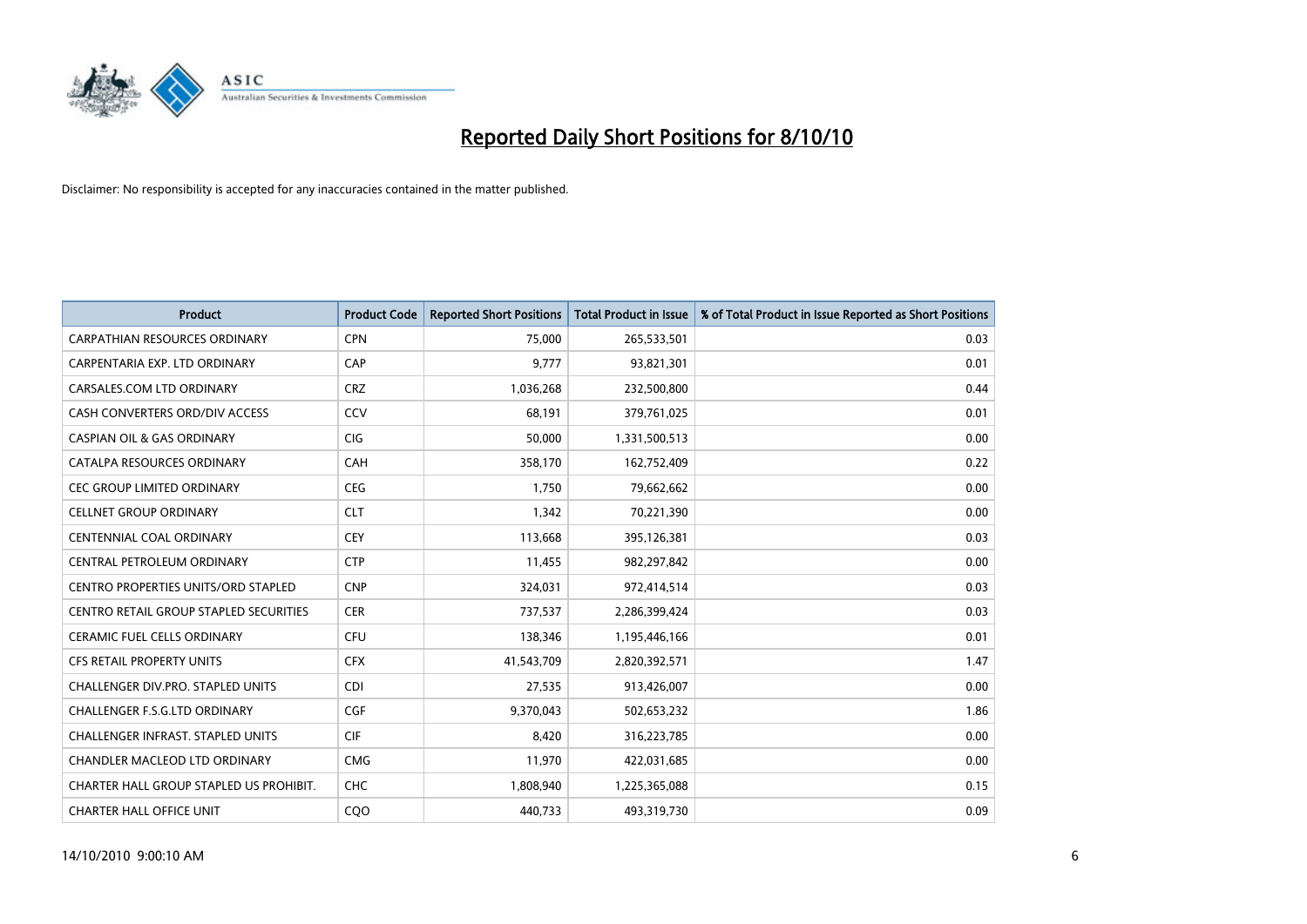

| <b>Product</b>                                | <b>Product Code</b> | <b>Reported Short Positions</b> | <b>Total Product in Issue</b> | % of Total Product in Issue Reported as Short Positions |
|-----------------------------------------------|---------------------|---------------------------------|-------------------------------|---------------------------------------------------------|
| <b>CARPATHIAN RESOURCES ORDINARY</b>          | <b>CPN</b>          | 75.000                          | 265,533,501                   | 0.03                                                    |
| CARPENTARIA EXP. LTD ORDINARY                 | CAP                 | 9,777                           | 93,821,301                    | 0.01                                                    |
| CARSALES.COM LTD ORDINARY                     | <b>CRZ</b>          | 1,036,268                       | 232,500,800                   | 0.44                                                    |
| CASH CONVERTERS ORD/DIV ACCESS                | CCV                 | 68,191                          | 379,761,025                   | 0.01                                                    |
| <b>CASPIAN OIL &amp; GAS ORDINARY</b>         | <b>CIG</b>          | 50,000                          | 1,331,500,513                 | 0.00                                                    |
| CATALPA RESOURCES ORDINARY                    | CAH                 | 358,170                         | 162,752,409                   | 0.22                                                    |
| <b>CEC GROUP LIMITED ORDINARY</b>             | <b>CEG</b>          | 1,750                           | 79,662,662                    | 0.00                                                    |
| <b>CELLNET GROUP ORDINARY</b>                 | <b>CLT</b>          | 1.342                           | 70,221,390                    | 0.00                                                    |
| <b>CENTENNIAL COAL ORDINARY</b>               | <b>CEY</b>          | 113,668                         | 395,126,381                   | 0.03                                                    |
| CENTRAL PETROLEUM ORDINARY                    | <b>CTP</b>          | 11,455                          | 982,297,842                   | 0.00                                                    |
| CENTRO PROPERTIES UNITS/ORD STAPLED           | <b>CNP</b>          | 324,031                         | 972,414,514                   | 0.03                                                    |
| <b>CENTRO RETAIL GROUP STAPLED SECURITIES</b> | <b>CER</b>          | 737,537                         | 2,286,399,424                 | 0.03                                                    |
| <b>CERAMIC FUEL CELLS ORDINARY</b>            | <b>CFU</b>          | 138,346                         | 1,195,446,166                 | 0.01                                                    |
| <b>CFS RETAIL PROPERTY UNITS</b>              | <b>CFX</b>          | 41,543,709                      | 2,820,392,571                 | 1.47                                                    |
| <b>CHALLENGER DIV.PRO. STAPLED UNITS</b>      | <b>CDI</b>          | 27.535                          | 913,426,007                   | 0.00                                                    |
| <b>CHALLENGER F.S.G.LTD ORDINARY</b>          | <b>CGF</b>          | 9,370,043                       | 502,653,232                   | 1.86                                                    |
| CHALLENGER INFRAST. STAPLED UNITS             | <b>CIF</b>          | 8,420                           | 316,223,785                   | 0.00                                                    |
| CHANDLER MACLEOD LTD ORDINARY                 | <b>CMG</b>          | 11,970                          | 422,031,685                   | 0.00                                                    |
| CHARTER HALL GROUP STAPLED US PROHIBIT.       | <b>CHC</b>          | 1,808,940                       | 1,225,365,088                 | 0.15                                                    |
| <b>CHARTER HALL OFFICE UNIT</b>               | CQ <sub>O</sub>     | 440,733                         | 493,319,730                   | 0.09                                                    |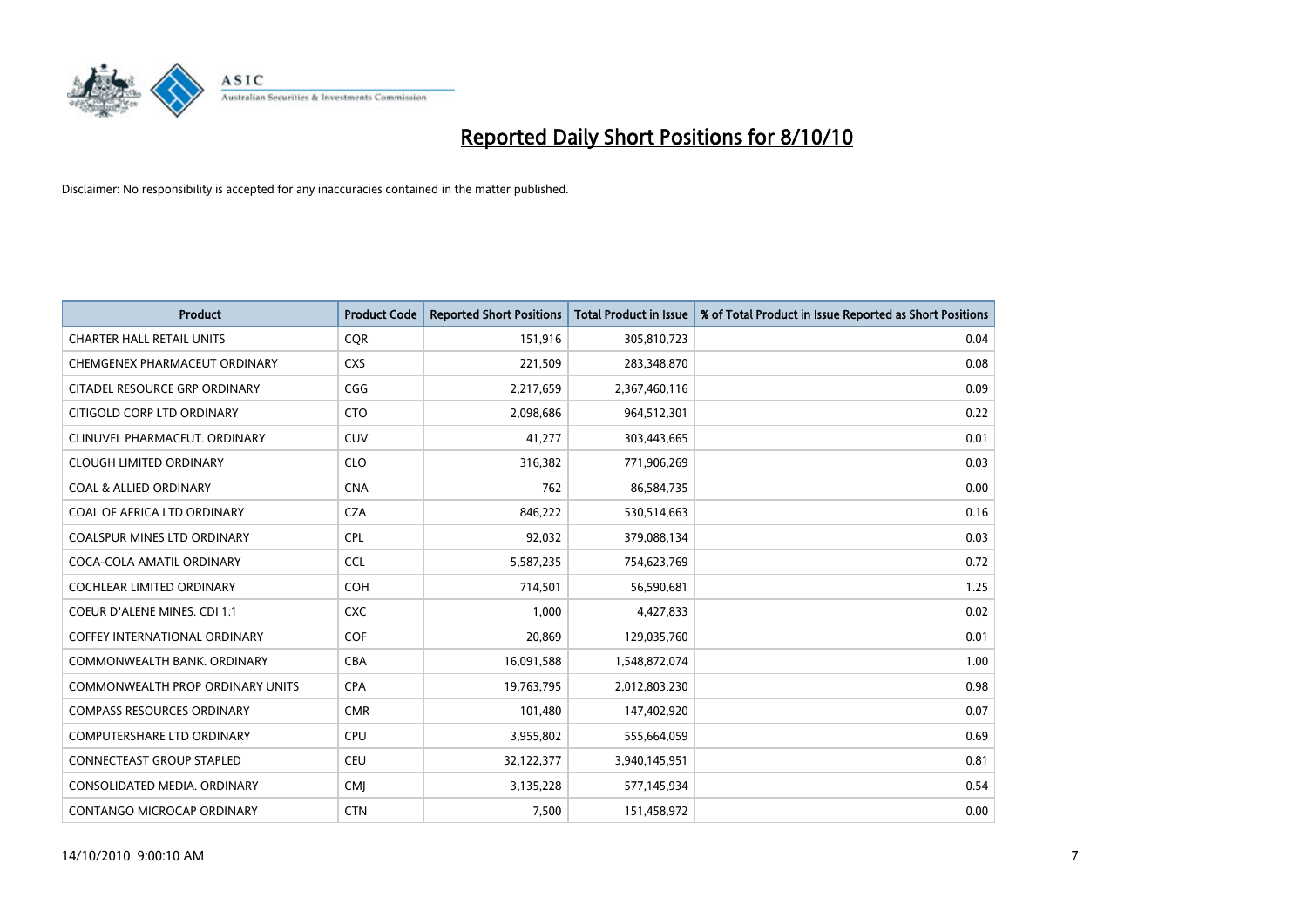

| <b>Product</b>                       | <b>Product Code</b> | <b>Reported Short Positions</b> | Total Product in Issue | % of Total Product in Issue Reported as Short Positions |
|--------------------------------------|---------------------|---------------------------------|------------------------|---------------------------------------------------------|
| <b>CHARTER HALL RETAIL UNITS</b>     | <b>CQR</b>          | 151,916                         | 305,810,723            | 0.04                                                    |
| CHEMGENEX PHARMACEUT ORDINARY        | <b>CXS</b>          | 221,509                         | 283,348,870            | 0.08                                                    |
| CITADEL RESOURCE GRP ORDINARY        | CGG                 | 2,217,659                       | 2,367,460,116          | 0.09                                                    |
| CITIGOLD CORP LTD ORDINARY           | <b>CTO</b>          | 2,098,686                       | 964,512,301            | 0.22                                                    |
| CLINUVEL PHARMACEUT, ORDINARY        | <b>CUV</b>          | 41,277                          | 303,443,665            | 0.01                                                    |
| <b>CLOUGH LIMITED ORDINARY</b>       | <b>CLO</b>          | 316,382                         | 771,906,269            | 0.03                                                    |
| <b>COAL &amp; ALLIED ORDINARY</b>    | <b>CNA</b>          | 762                             | 86,584,735             | 0.00                                                    |
| COAL OF AFRICA LTD ORDINARY          | <b>CZA</b>          | 846,222                         | 530,514,663            | 0.16                                                    |
| COALSPUR MINES LTD ORDINARY          | <b>CPL</b>          | 92,032                          | 379,088,134            | 0.03                                                    |
| COCA-COLA AMATIL ORDINARY            | <b>CCL</b>          | 5,587,235                       | 754,623,769            | 0.72                                                    |
| <b>COCHLEAR LIMITED ORDINARY</b>     | <b>COH</b>          | 714,501                         | 56,590,681             | 1.25                                                    |
| COEUR D'ALENE MINES. CDI 1:1         | <b>CXC</b>          | 1,000                           | 4,427,833              | 0.02                                                    |
| <b>COFFEY INTERNATIONAL ORDINARY</b> | <b>COF</b>          | 20.869                          | 129,035,760            | 0.01                                                    |
| COMMONWEALTH BANK, ORDINARY          | <b>CBA</b>          | 16,091,588                      | 1,548,872,074          | 1.00                                                    |
| COMMONWEALTH PROP ORDINARY UNITS     | <b>CPA</b>          | 19,763,795                      | 2,012,803,230          | 0.98                                                    |
| <b>COMPASS RESOURCES ORDINARY</b>    | <b>CMR</b>          | 101,480                         | 147,402,920            | 0.07                                                    |
| <b>COMPUTERSHARE LTD ORDINARY</b>    | <b>CPU</b>          | 3,955,802                       | 555,664,059            | 0.69                                                    |
| CONNECTEAST GROUP STAPLED            | <b>CEU</b>          | 32,122,377                      | 3,940,145,951          | 0.81                                                    |
| CONSOLIDATED MEDIA, ORDINARY         | <b>CMI</b>          | 3,135,228                       | 577,145,934            | 0.54                                                    |
| CONTANGO MICROCAP ORDINARY           | <b>CTN</b>          | 7,500                           | 151,458,972            | 0.00                                                    |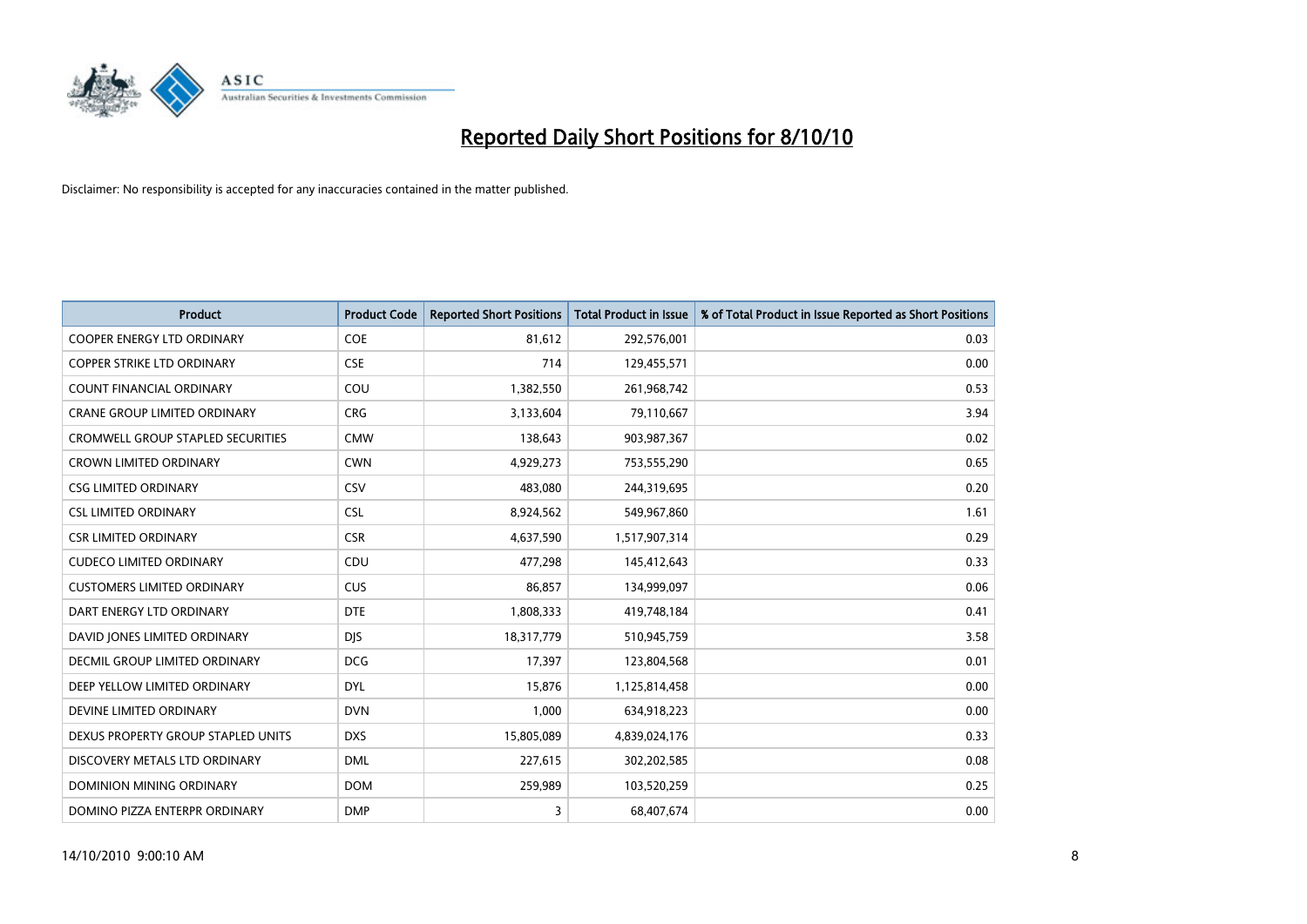

| <b>Product</b>                           | <b>Product Code</b> | <b>Reported Short Positions</b> | Total Product in Issue | % of Total Product in Issue Reported as Short Positions |
|------------------------------------------|---------------------|---------------------------------|------------------------|---------------------------------------------------------|
| <b>COOPER ENERGY LTD ORDINARY</b>        | <b>COE</b>          | 81,612                          | 292,576,001            | 0.03                                                    |
| COPPER STRIKE LTD ORDINARY               | <b>CSE</b>          | 714                             | 129,455,571            | 0.00                                                    |
| <b>COUNT FINANCIAL ORDINARY</b>          | COU                 | 1,382,550                       | 261,968,742            | 0.53                                                    |
| CRANE GROUP LIMITED ORDINARY             | <b>CRG</b>          | 3,133,604                       | 79,110,667             | 3.94                                                    |
| <b>CROMWELL GROUP STAPLED SECURITIES</b> | <b>CMW</b>          | 138,643                         | 903,987,367            | 0.02                                                    |
| <b>CROWN LIMITED ORDINARY</b>            | <b>CWN</b>          | 4,929,273                       | 753,555,290            | 0.65                                                    |
| <b>CSG LIMITED ORDINARY</b>              | CSV                 | 483,080                         | 244,319,695            | 0.20                                                    |
| <b>CSL LIMITED ORDINARY</b>              | <b>CSL</b>          | 8,924,562                       | 549,967,860            | 1.61                                                    |
| <b>CSR LIMITED ORDINARY</b>              | <b>CSR</b>          | 4,637,590                       | 1,517,907,314          | 0.29                                                    |
| <b>CUDECO LIMITED ORDINARY</b>           | CDU                 | 477,298                         | 145,412,643            | 0.33                                                    |
| <b>CUSTOMERS LIMITED ORDINARY</b>        | CUS                 | 86,857                          | 134,999,097            | 0.06                                                    |
| DART ENERGY LTD ORDINARY                 | <b>DTE</b>          | 1,808,333                       | 419,748,184            | 0.41                                                    |
| DAVID JONES LIMITED ORDINARY             | <b>DJS</b>          | 18,317,779                      | 510,945,759            | 3.58                                                    |
| <b>DECMIL GROUP LIMITED ORDINARY</b>     | <b>DCG</b>          | 17,397                          | 123,804,568            | 0.01                                                    |
| DEEP YELLOW LIMITED ORDINARY             | <b>DYL</b>          | 15,876                          | 1,125,814,458          | 0.00                                                    |
| DEVINE LIMITED ORDINARY                  | <b>DVN</b>          | 1,000                           | 634,918,223            | 0.00                                                    |
| DEXUS PROPERTY GROUP STAPLED UNITS       | <b>DXS</b>          | 15,805,089                      | 4,839,024,176          | 0.33                                                    |
| DISCOVERY METALS LTD ORDINARY            | <b>DML</b>          | 227,615                         | 302,202,585            | 0.08                                                    |
| DOMINION MINING ORDINARY                 | <b>DOM</b>          | 259,989                         | 103,520,259            | 0.25                                                    |
| DOMINO PIZZA ENTERPR ORDINARY            | <b>DMP</b>          | 3                               | 68,407,674             | 0.00                                                    |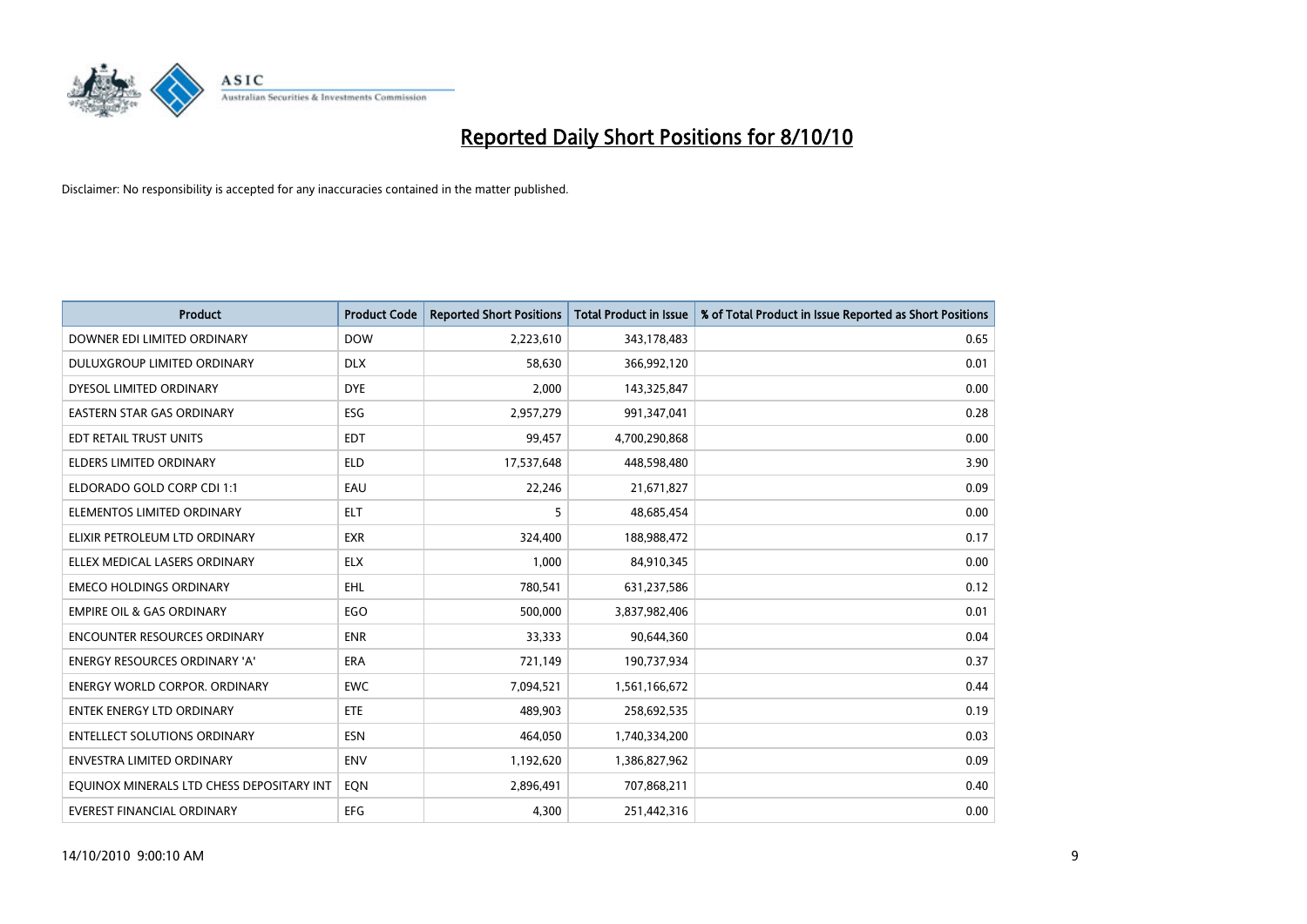

| <b>Product</b>                            | <b>Product Code</b> | <b>Reported Short Positions</b> | <b>Total Product in Issue</b> | % of Total Product in Issue Reported as Short Positions |
|-------------------------------------------|---------------------|---------------------------------|-------------------------------|---------------------------------------------------------|
| DOWNER EDI LIMITED ORDINARY               | <b>DOW</b>          | 2,223,610                       | 343,178,483                   | 0.65                                                    |
| DULUXGROUP LIMITED ORDINARY               | <b>DLX</b>          | 58.630                          | 366,992,120                   | 0.01                                                    |
| DYESOL LIMITED ORDINARY                   | <b>DYE</b>          | 2,000                           | 143,325,847                   | 0.00                                                    |
| EASTERN STAR GAS ORDINARY                 | ESG                 | 2,957,279                       | 991,347,041                   | 0.28                                                    |
| EDT RETAIL TRUST UNITS                    | <b>EDT</b>          | 99,457                          | 4,700,290,868                 | 0.00                                                    |
| ELDERS LIMITED ORDINARY                   | <b>ELD</b>          | 17,537,648                      | 448,598,480                   | 3.90                                                    |
| ELDORADO GOLD CORP CDI 1:1                | EAU                 | 22,246                          | 21,671,827                    | 0.09                                                    |
| ELEMENTOS LIMITED ORDINARY                | <b>ELT</b>          | 5                               | 48,685,454                    | 0.00                                                    |
| ELIXIR PETROLEUM LTD ORDINARY             | <b>EXR</b>          | 324,400                         | 188,988,472                   | 0.17                                                    |
| ELLEX MEDICAL LASERS ORDINARY             | <b>ELX</b>          | 1,000                           | 84,910,345                    | 0.00                                                    |
| <b>EMECO HOLDINGS ORDINARY</b>            | <b>EHL</b>          | 780,541                         | 631,237,586                   | 0.12                                                    |
| <b>EMPIRE OIL &amp; GAS ORDINARY</b>      | EGO                 | 500,000                         | 3,837,982,406                 | 0.01                                                    |
| <b>ENCOUNTER RESOURCES ORDINARY</b>       | <b>ENR</b>          | 33,333                          | 90,644,360                    | 0.04                                                    |
| <b>ENERGY RESOURCES ORDINARY 'A'</b>      | <b>ERA</b>          | 721,149                         | 190,737,934                   | 0.37                                                    |
| <b>ENERGY WORLD CORPOR, ORDINARY</b>      | <b>EWC</b>          | 7,094,521                       | 1,561,166,672                 | 0.44                                                    |
| <b>ENTEK ENERGY LTD ORDINARY</b>          | ETE                 | 489.903                         | 258,692,535                   | 0.19                                                    |
| <b>ENTELLECT SOLUTIONS ORDINARY</b>       | <b>ESN</b>          | 464,050                         | 1,740,334,200                 | 0.03                                                    |
| <b>ENVESTRA LIMITED ORDINARY</b>          | <b>ENV</b>          | 1,192,620                       | 1,386,827,962                 | 0.09                                                    |
| EQUINOX MINERALS LTD CHESS DEPOSITARY INT | EON                 | 2,896,491                       | 707,868,211                   | 0.40                                                    |
| EVEREST FINANCIAL ORDINARY                | <b>EFG</b>          | 4.300                           | 251,442,316                   | 0.00                                                    |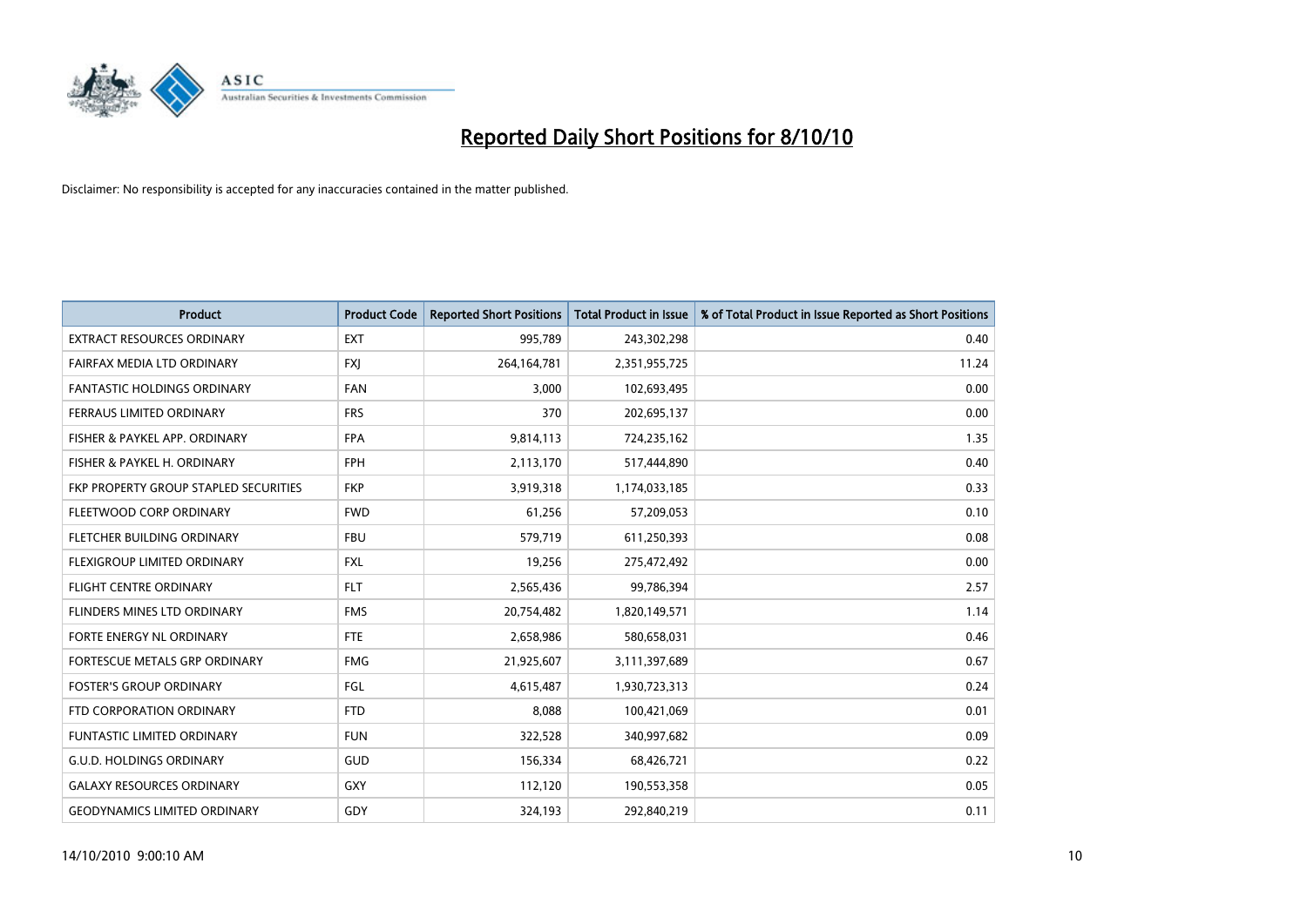

| <b>Product</b>                        | <b>Product Code</b> | <b>Reported Short Positions</b> | Total Product in Issue | % of Total Product in Issue Reported as Short Positions |
|---------------------------------------|---------------------|---------------------------------|------------------------|---------------------------------------------------------|
| <b>EXTRACT RESOURCES ORDINARY</b>     | <b>EXT</b>          | 995,789                         | 243,302,298            | 0.40                                                    |
| FAIRFAX MEDIA LTD ORDINARY            | <b>FXI</b>          | 264,164,781                     | 2,351,955,725          | 11.24                                                   |
| <b>FANTASTIC HOLDINGS ORDINARY</b>    | <b>FAN</b>          | 3,000                           | 102,693,495            | 0.00                                                    |
| FERRAUS LIMITED ORDINARY              | <b>FRS</b>          | 370                             | 202,695,137            | 0.00                                                    |
| FISHER & PAYKEL APP. ORDINARY         | <b>FPA</b>          | 9,814,113                       | 724,235,162            | 1.35                                                    |
| FISHER & PAYKEL H. ORDINARY           | <b>FPH</b>          | 2,113,170                       | 517,444,890            | 0.40                                                    |
| FKP PROPERTY GROUP STAPLED SECURITIES | <b>FKP</b>          | 3,919,318                       | 1,174,033,185          | 0.33                                                    |
| FLEETWOOD CORP ORDINARY               | <b>FWD</b>          | 61,256                          | 57,209,053             | 0.10                                                    |
| FLETCHER BUILDING ORDINARY            | <b>FBU</b>          | 579,719                         | 611,250,393            | 0.08                                                    |
| FLEXIGROUP LIMITED ORDINARY           | <b>FXL</b>          | 19,256                          | 275,472,492            | 0.00                                                    |
| <b>FLIGHT CENTRE ORDINARY</b>         | <b>FLT</b>          | 2,565,436                       | 99,786,394             | 2.57                                                    |
| FLINDERS MINES LTD ORDINARY           | <b>FMS</b>          | 20,754,482                      | 1,820,149,571          | 1.14                                                    |
| <b>FORTE ENERGY NL ORDINARY</b>       | <b>FTE</b>          | 2,658,986                       | 580,658,031            | 0.46                                                    |
| FORTESCUE METALS GRP ORDINARY         | <b>FMG</b>          | 21,925,607                      | 3,111,397,689          | 0.67                                                    |
| <b>FOSTER'S GROUP ORDINARY</b>        | FGL                 | 4,615,487                       | 1,930,723,313          | 0.24                                                    |
| FTD CORPORATION ORDINARY              | <b>FTD</b>          | 8,088                           | 100,421,069            | 0.01                                                    |
| <b>FUNTASTIC LIMITED ORDINARY</b>     | <b>FUN</b>          | 322,528                         | 340,997,682            | 0.09                                                    |
| <b>G.U.D. HOLDINGS ORDINARY</b>       | <b>GUD</b>          | 156,334                         | 68,426,721             | 0.22                                                    |
| <b>GALAXY RESOURCES ORDINARY</b>      | <b>GXY</b>          | 112,120                         | 190,553,358            | 0.05                                                    |
| <b>GEODYNAMICS LIMITED ORDINARY</b>   | GDY                 | 324,193                         | 292,840,219            | 0.11                                                    |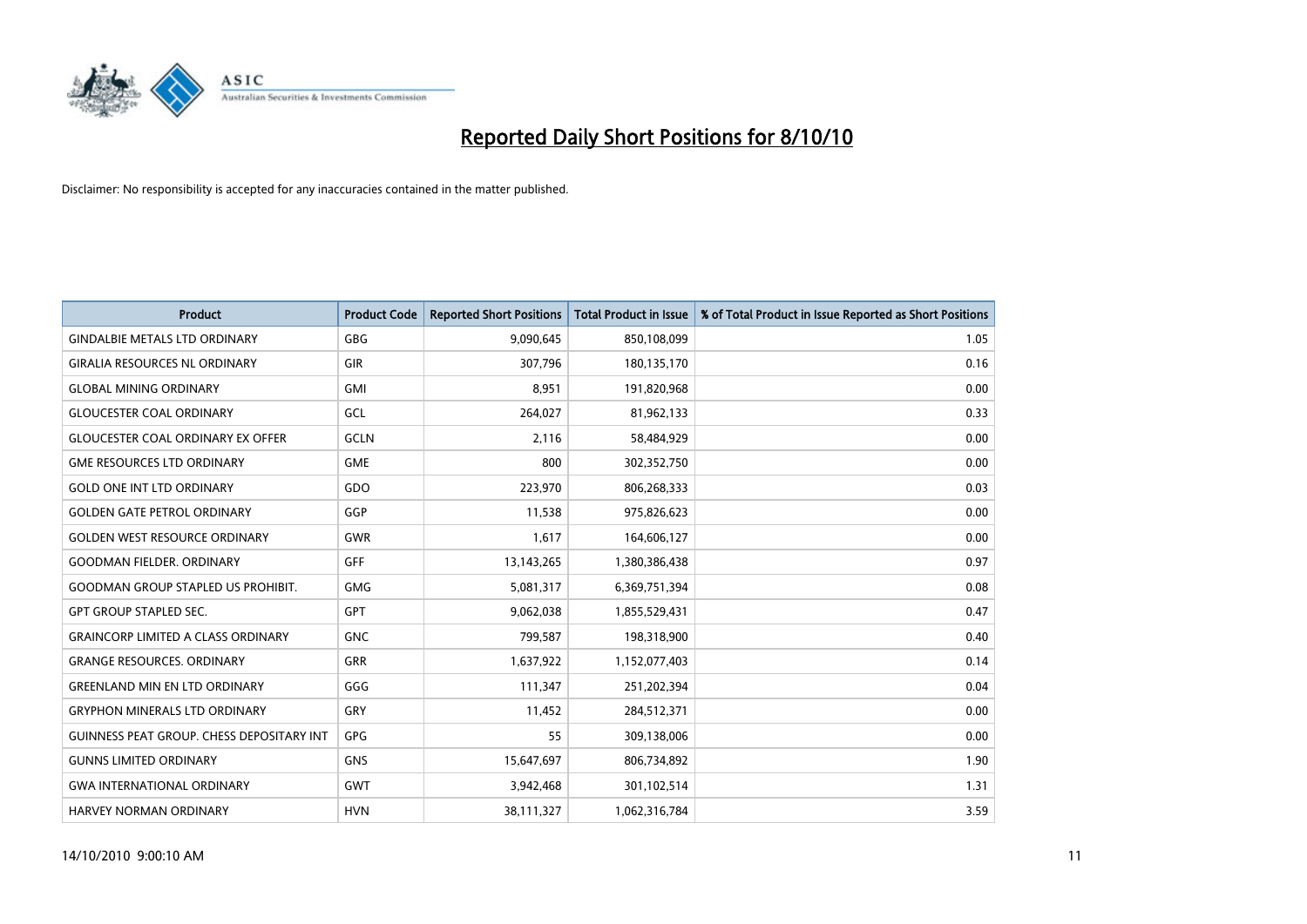

| <b>Product</b>                            | <b>Product Code</b> | <b>Reported Short Positions</b> | Total Product in Issue | % of Total Product in Issue Reported as Short Positions |
|-------------------------------------------|---------------------|---------------------------------|------------------------|---------------------------------------------------------|
| <b>GINDALBIE METALS LTD ORDINARY</b>      | <b>GBG</b>          | 9,090,645                       | 850,108,099            | 1.05                                                    |
| <b>GIRALIA RESOURCES NL ORDINARY</b>      | <b>GIR</b>          | 307,796                         | 180,135,170            | 0.16                                                    |
| <b>GLOBAL MINING ORDINARY</b>             | <b>GMI</b>          | 8.951                           | 191,820,968            | 0.00                                                    |
| <b>GLOUCESTER COAL ORDINARY</b>           | <b>GCL</b>          | 264,027                         | 81,962,133             | 0.33                                                    |
| <b>GLOUCESTER COAL ORDINARY EX OFFER</b>  | GCLN                | 2,116                           | 58,484,929             | 0.00                                                    |
| <b>GME RESOURCES LTD ORDINARY</b>         | <b>GME</b>          | 800                             | 302,352,750            | 0.00                                                    |
| <b>GOLD ONE INT LTD ORDINARY</b>          | GDO                 | 223,970                         | 806,268,333            | 0.03                                                    |
| <b>GOLDEN GATE PETROL ORDINARY</b>        | GGP                 | 11,538                          | 975,826,623            | 0.00                                                    |
| <b>GOLDEN WEST RESOURCE ORDINARY</b>      | <b>GWR</b>          | 1,617                           | 164,606,127            | 0.00                                                    |
| <b>GOODMAN FIELDER, ORDINARY</b>          | <b>GFF</b>          | 13,143,265                      | 1,380,386,438          | 0.97                                                    |
| <b>GOODMAN GROUP STAPLED US PROHIBIT.</b> | <b>GMG</b>          | 5,081,317                       | 6,369,751,394          | 0.08                                                    |
| <b>GPT GROUP STAPLED SEC.</b>             | <b>GPT</b>          | 9,062,038                       | 1,855,529,431          | 0.47                                                    |
| <b>GRAINCORP LIMITED A CLASS ORDINARY</b> | <b>GNC</b>          | 799,587                         | 198,318,900            | 0.40                                                    |
| <b>GRANGE RESOURCES. ORDINARY</b>         | <b>GRR</b>          | 1,637,922                       | 1,152,077,403          | 0.14                                                    |
| <b>GREENLAND MIN EN LTD ORDINARY</b>      | GGG                 | 111,347                         | 251,202,394            | 0.04                                                    |
| <b>GRYPHON MINERALS LTD ORDINARY</b>      | GRY                 | 11,452                          | 284,512,371            | 0.00                                                    |
| GUINNESS PEAT GROUP. CHESS DEPOSITARY INT | GPG                 | 55                              | 309,138,006            | 0.00                                                    |
| <b>GUNNS LIMITED ORDINARY</b>             | <b>GNS</b>          | 15,647,697                      | 806,734,892            | 1.90                                                    |
| <b>GWA INTERNATIONAL ORDINARY</b>         | <b>GWT</b>          | 3,942,468                       | 301,102,514            | 1.31                                                    |
| HARVEY NORMAN ORDINARY                    | <b>HVN</b>          | 38,111,327                      | 1,062,316,784          | 3.59                                                    |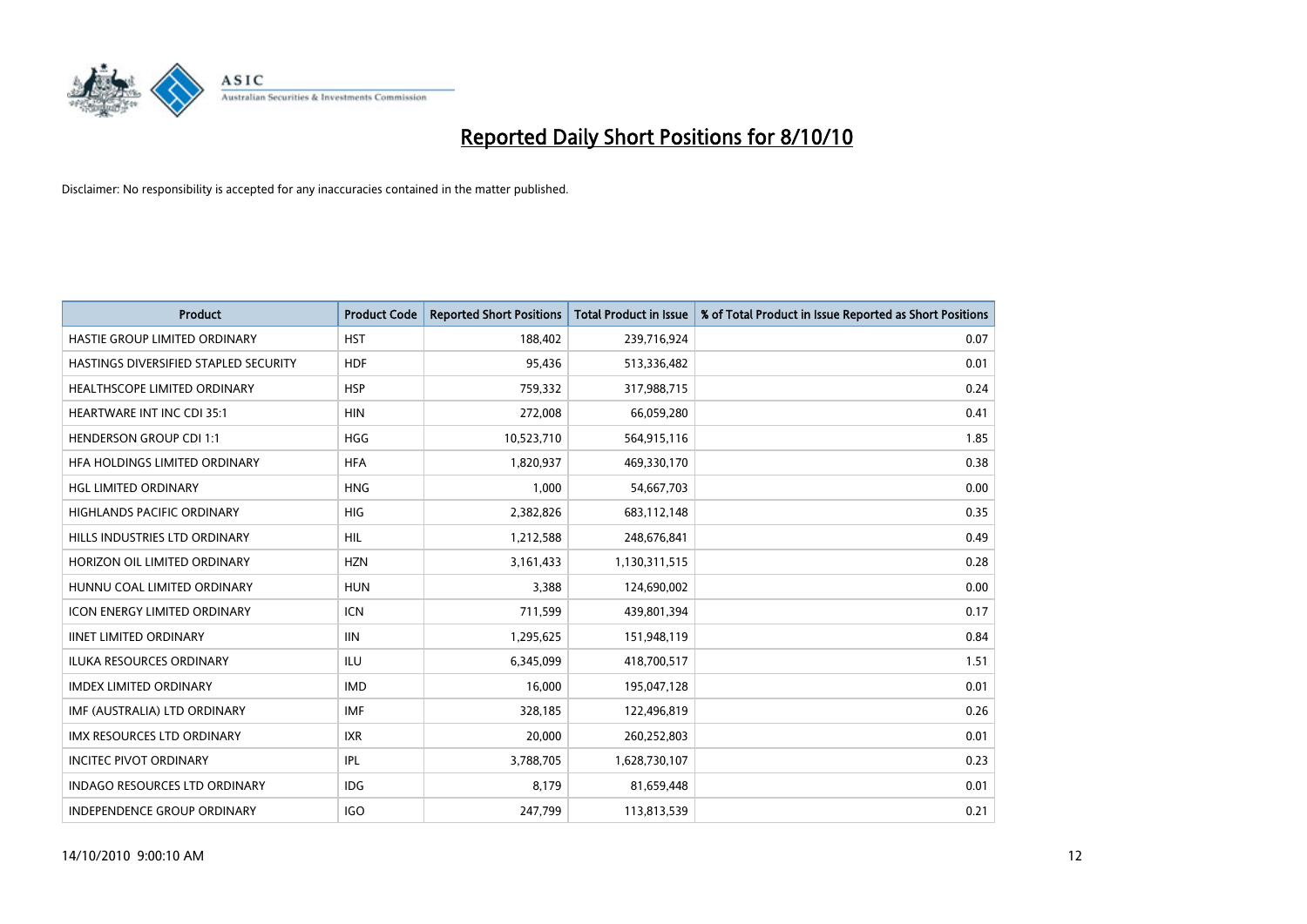

| <b>Product</b>                        | <b>Product Code</b> | <b>Reported Short Positions</b> | <b>Total Product in Issue</b> | % of Total Product in Issue Reported as Short Positions |
|---------------------------------------|---------------------|---------------------------------|-------------------------------|---------------------------------------------------------|
| HASTIE GROUP LIMITED ORDINARY         | <b>HST</b>          | 188,402                         | 239,716,924                   | 0.07                                                    |
| HASTINGS DIVERSIFIED STAPLED SECURITY | <b>HDF</b>          | 95,436                          | 513,336,482                   | 0.01                                                    |
| <b>HEALTHSCOPE LIMITED ORDINARY</b>   | <b>HSP</b>          | 759,332                         | 317,988,715                   | 0.24                                                    |
| HEARTWARE INT INC CDI 35:1            | <b>HIN</b>          | 272,008                         | 66,059,280                    | 0.41                                                    |
| <b>HENDERSON GROUP CDI 1:1</b>        | <b>HGG</b>          | 10,523,710                      | 564,915,116                   | 1.85                                                    |
| HFA HOLDINGS LIMITED ORDINARY         | <b>HFA</b>          | 1,820,937                       | 469,330,170                   | 0.38                                                    |
| <b>HGL LIMITED ORDINARY</b>           | <b>HNG</b>          | 1.000                           | 54,667,703                    | 0.00                                                    |
| <b>HIGHLANDS PACIFIC ORDINARY</b>     | <b>HIG</b>          | 2,382,826                       | 683,112,148                   | 0.35                                                    |
| HILLS INDUSTRIES LTD ORDINARY         | HIL                 | 1,212,588                       | 248,676,841                   | 0.49                                                    |
| HORIZON OIL LIMITED ORDINARY          | <b>HZN</b>          | 3,161,433                       | 1,130,311,515                 | 0.28                                                    |
| HUNNU COAL LIMITED ORDINARY           | <b>HUN</b>          | 3,388                           | 124,690,002                   | 0.00                                                    |
| <b>ICON ENERGY LIMITED ORDINARY</b>   | <b>ICN</b>          | 711,599                         | 439,801,394                   | 0.17                                                    |
| <b>IINET LIMITED ORDINARY</b>         | <b>IIN</b>          | 1,295,625                       | 151,948,119                   | 0.84                                                    |
| <b>ILUKA RESOURCES ORDINARY</b>       | ILU                 | 6,345,099                       | 418,700,517                   | 1.51                                                    |
| <b>IMDEX LIMITED ORDINARY</b>         | <b>IMD</b>          | 16,000                          | 195,047,128                   | 0.01                                                    |
| IMF (AUSTRALIA) LTD ORDINARY          | <b>IMF</b>          | 328,185                         | 122,496,819                   | 0.26                                                    |
| <b>IMX RESOURCES LTD ORDINARY</b>     | <b>IXR</b>          | 20,000                          | 260,252,803                   | 0.01                                                    |
| <b>INCITEC PIVOT ORDINARY</b>         | <b>IPL</b>          | 3,788,705                       | 1,628,730,107                 | 0.23                                                    |
| <b>INDAGO RESOURCES LTD ORDINARY</b>  | <b>IDG</b>          | 8,179                           | 81,659,448                    | 0.01                                                    |
| <b>INDEPENDENCE GROUP ORDINARY</b>    | <b>IGO</b>          | 247.799                         | 113,813,539                   | 0.21                                                    |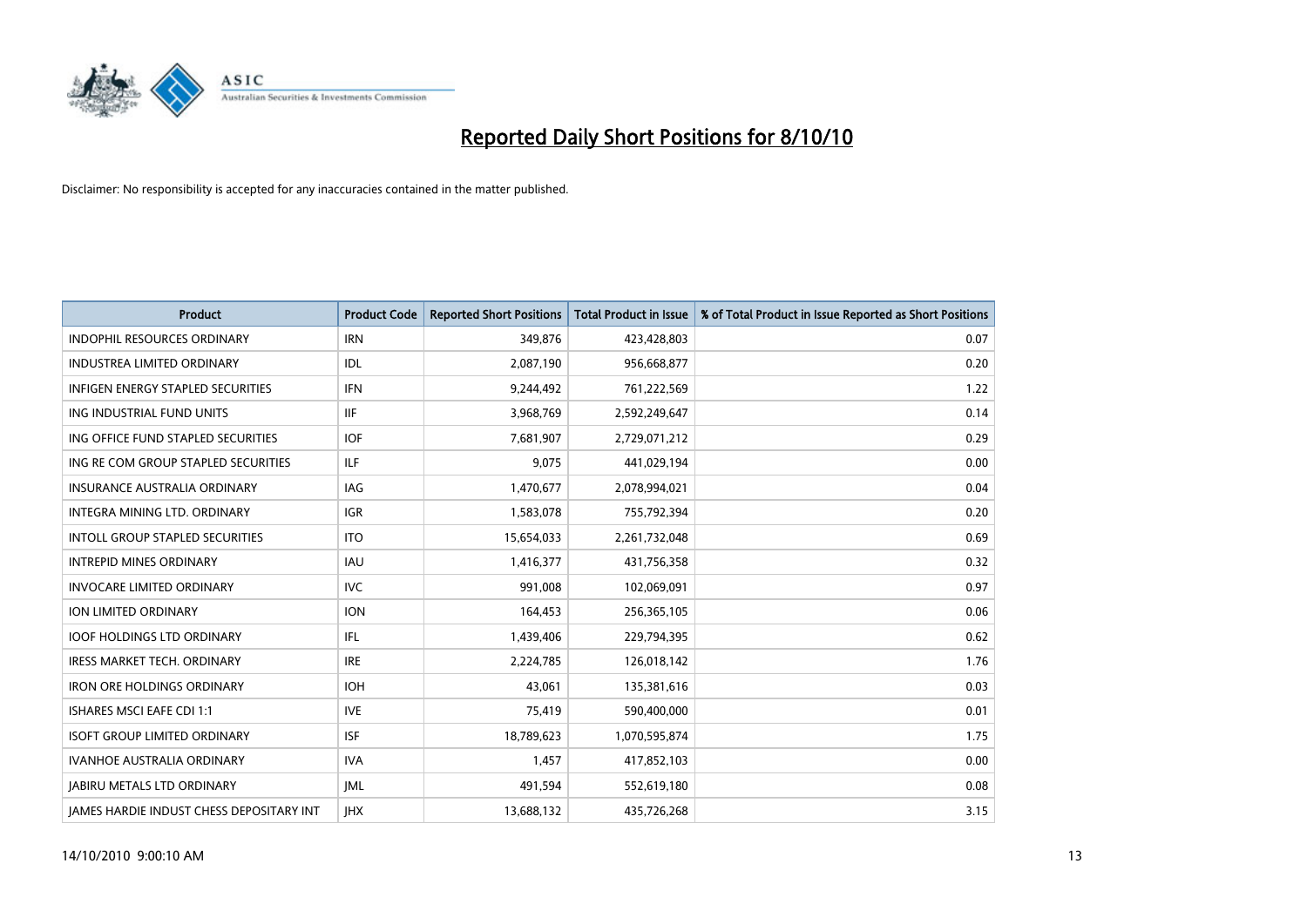

| <b>Product</b>                                  | <b>Product Code</b> | <b>Reported Short Positions</b> | <b>Total Product in Issue</b> | % of Total Product in Issue Reported as Short Positions |
|-------------------------------------------------|---------------------|---------------------------------|-------------------------------|---------------------------------------------------------|
| <b>INDOPHIL RESOURCES ORDINARY</b>              | <b>IRN</b>          | 349,876                         | 423,428,803                   | 0.07                                                    |
| INDUSTREA LIMITED ORDINARY                      | IDL                 | 2,087,190                       | 956,668,877                   | 0.20                                                    |
| <b>INFIGEN ENERGY STAPLED SECURITIES</b>        | <b>IFN</b>          | 9,244,492                       | 761,222,569                   | 1.22                                                    |
| ING INDUSTRIAL FUND UNITS                       | <b>IIF</b>          | 3,968,769                       | 2,592,249,647                 | 0.14                                                    |
| ING OFFICE FUND STAPLED SECURITIES              | <b>IOF</b>          | 7,681,907                       | 2,729,071,212                 | 0.29                                                    |
| ING RE COM GROUP STAPLED SECURITIES             | <b>ILF</b>          | 9,075                           | 441,029,194                   | 0.00                                                    |
| <b>INSURANCE AUSTRALIA ORDINARY</b>             | <b>IAG</b>          | 1,470,677                       | 2,078,994,021                 | 0.04                                                    |
| INTEGRA MINING LTD, ORDINARY                    | <b>IGR</b>          | 1,583,078                       | 755,792,394                   | 0.20                                                    |
| INTOLL GROUP STAPLED SECURITIES                 | <b>ITO</b>          | 15,654,033                      | 2,261,732,048                 | 0.69                                                    |
| <b>INTREPID MINES ORDINARY</b>                  | <b>IAU</b>          | 1,416,377                       | 431,756,358                   | 0.32                                                    |
| <b>INVOCARE LIMITED ORDINARY</b>                | <b>IVC</b>          | 991,008                         | 102,069,091                   | 0.97                                                    |
| ION LIMITED ORDINARY                            | <b>ION</b>          | 164,453                         | 256,365,105                   | 0.06                                                    |
| <b>IOOF HOLDINGS LTD ORDINARY</b>               | <b>IFL</b>          | 1,439,406                       | 229,794,395                   | 0.62                                                    |
| <b>IRESS MARKET TECH. ORDINARY</b>              | <b>IRE</b>          | 2,224,785                       | 126,018,142                   | 1.76                                                    |
| <b>IRON ORE HOLDINGS ORDINARY</b>               | <b>IOH</b>          | 43,061                          | 135,381,616                   | 0.03                                                    |
| ISHARES MSCI EAFE CDI 1:1                       | <b>IVE</b>          | 75,419                          | 590,400,000                   | 0.01                                                    |
| <b>ISOFT GROUP LIMITED ORDINARY</b>             | <b>ISF</b>          | 18,789,623                      | 1,070,595,874                 | 1.75                                                    |
| IVANHOE AUSTRALIA ORDINARY                      | <b>IVA</b>          | 1,457                           | 417,852,103                   | 0.00                                                    |
| <b>JABIRU METALS LTD ORDINARY</b>               | IML                 | 491,594                         | 552,619,180                   | 0.08                                                    |
| <b>IAMES HARDIE INDUST CHESS DEPOSITARY INT</b> | <b>IHX</b>          | 13,688,132                      | 435,726,268                   | 3.15                                                    |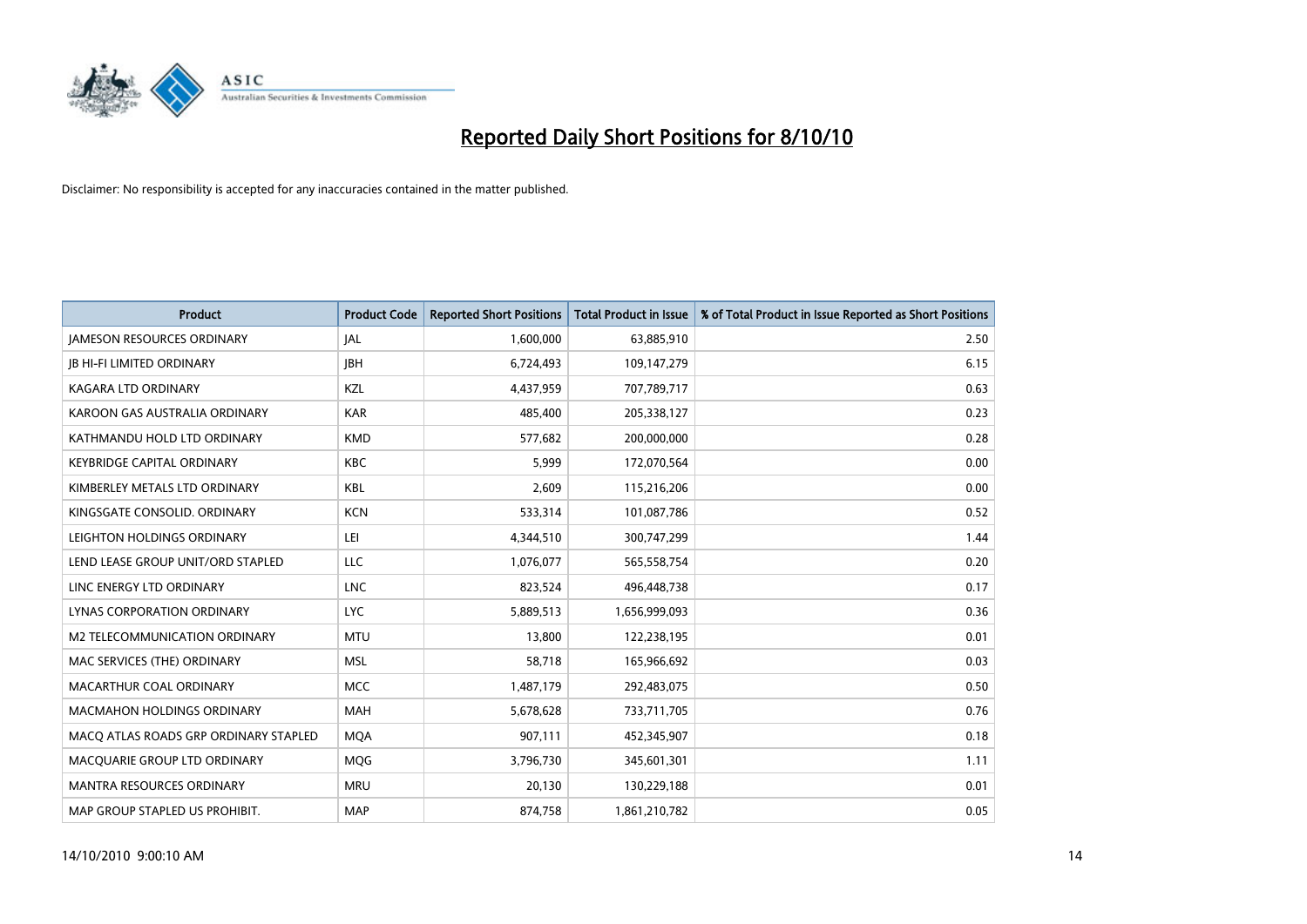

| <b>Product</b>                        | <b>Product Code</b> | <b>Reported Short Positions</b> | <b>Total Product in Issue</b> | % of Total Product in Issue Reported as Short Positions |
|---------------------------------------|---------------------|---------------------------------|-------------------------------|---------------------------------------------------------|
| <b>JAMESON RESOURCES ORDINARY</b>     | JAL                 | 1,600,000                       | 63,885,910                    | 2.50                                                    |
| <b>IB HI-FI LIMITED ORDINARY</b>      | <b>JBH</b>          | 6,724,493                       | 109,147,279                   | 6.15                                                    |
| <b>KAGARA LTD ORDINARY</b>            | KZL                 | 4,437,959                       | 707,789,717                   | 0.63                                                    |
| KAROON GAS AUSTRALIA ORDINARY         | <b>KAR</b>          | 485,400                         | 205,338,127                   | 0.23                                                    |
| KATHMANDU HOLD LTD ORDINARY           | <b>KMD</b>          | 577,682                         | 200,000,000                   | 0.28                                                    |
| <b>KEYBRIDGE CAPITAL ORDINARY</b>     | <b>KBC</b>          | 5,999                           | 172,070,564                   | 0.00                                                    |
| KIMBERLEY METALS LTD ORDINARY         | <b>KBL</b>          | 2,609                           | 115,216,206                   | 0.00                                                    |
| KINGSGATE CONSOLID. ORDINARY          | <b>KCN</b>          | 533,314                         | 101,087,786                   | 0.52                                                    |
| LEIGHTON HOLDINGS ORDINARY            | LEI                 | 4,344,510                       | 300,747,299                   | 1.44                                                    |
| LEND LEASE GROUP UNIT/ORD STAPLED     | LLC                 | 1,076,077                       | 565,558,754                   | 0.20                                                    |
| LINC ENERGY LTD ORDINARY              | <b>LNC</b>          | 823,524                         | 496,448,738                   | 0.17                                                    |
| LYNAS CORPORATION ORDINARY            | <b>LYC</b>          | 5,889,513                       | 1,656,999,093                 | 0.36                                                    |
| M2 TELECOMMUNICATION ORDINARY         | <b>MTU</b>          | 13,800                          | 122,238,195                   | 0.01                                                    |
| MAC SERVICES (THE) ORDINARY           | <b>MSL</b>          | 58,718                          | 165,966,692                   | 0.03                                                    |
| MACARTHUR COAL ORDINARY               | <b>MCC</b>          | 1,487,179                       | 292,483,075                   | 0.50                                                    |
| MACMAHON HOLDINGS ORDINARY            | <b>MAH</b>          | 5,678,628                       | 733,711,705                   | 0.76                                                    |
| MACQ ATLAS ROADS GRP ORDINARY STAPLED | <b>MQA</b>          | 907,111                         | 452,345,907                   | 0.18                                                    |
| MACQUARIE GROUP LTD ORDINARY          | MQG                 | 3,796,730                       | 345,601,301                   | 1.11                                                    |
| <b>MANTRA RESOURCES ORDINARY</b>      | <b>MRU</b>          | 20,130                          | 130,229,188                   | 0.01                                                    |
| MAP GROUP STAPLED US PROHIBIT.        | <b>MAP</b>          | 874,758                         | 1,861,210,782                 | 0.05                                                    |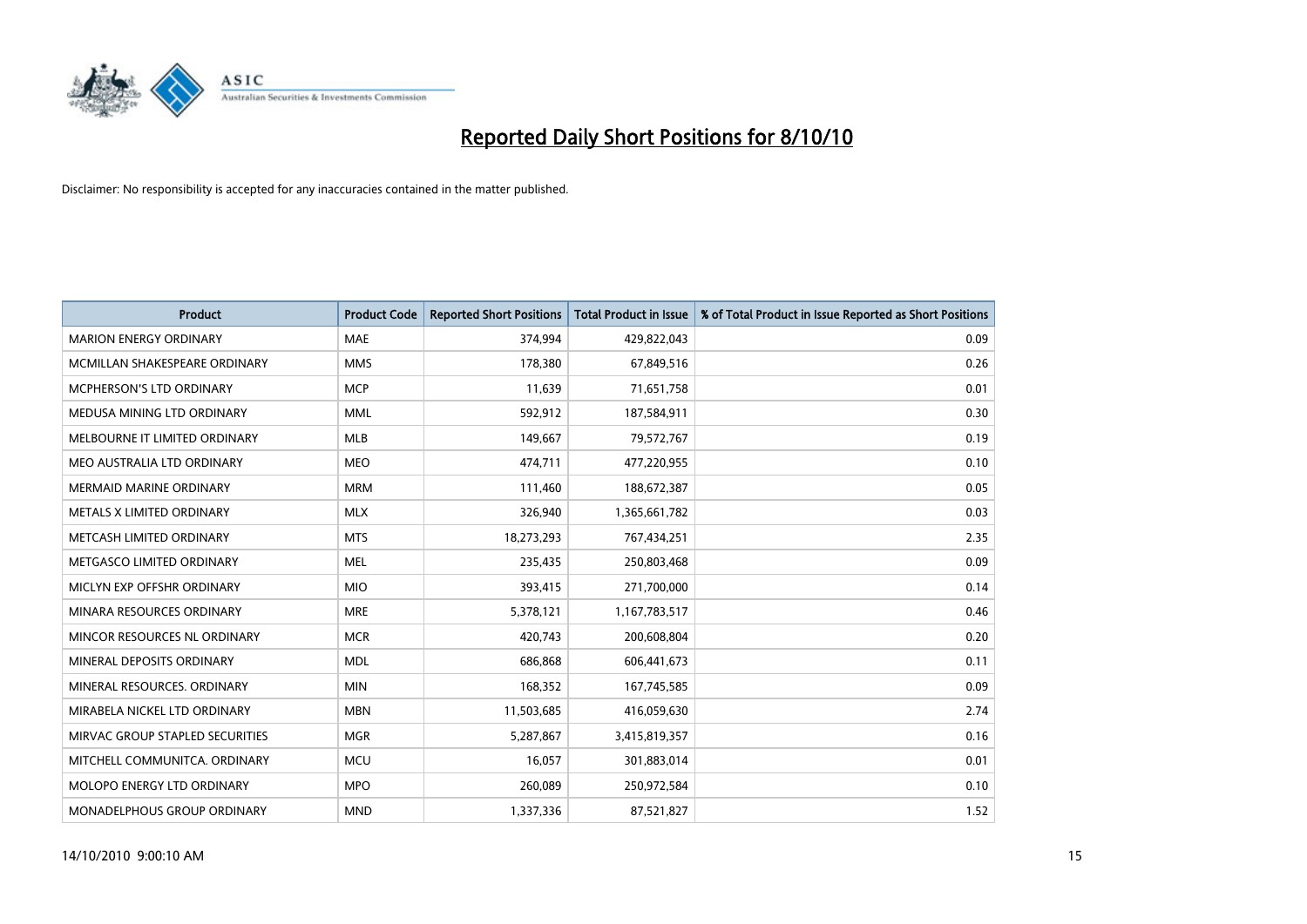

| <b>Product</b>                  | <b>Product Code</b> | <b>Reported Short Positions</b> | <b>Total Product in Issue</b> | % of Total Product in Issue Reported as Short Positions |
|---------------------------------|---------------------|---------------------------------|-------------------------------|---------------------------------------------------------|
| <b>MARION ENERGY ORDINARY</b>   | <b>MAE</b>          | 374,994                         | 429,822,043                   | 0.09                                                    |
| MCMILLAN SHAKESPEARE ORDINARY   | <b>MMS</b>          | 178,380                         | 67,849,516                    | 0.26                                                    |
| <b>MCPHERSON'S LTD ORDINARY</b> | <b>MCP</b>          | 11,639                          | 71,651,758                    | 0.01                                                    |
| MEDUSA MINING LTD ORDINARY      | <b>MML</b>          | 592,912                         | 187,584,911                   | 0.30                                                    |
| MELBOURNE IT LIMITED ORDINARY   | <b>MLB</b>          | 149,667                         | 79,572,767                    | 0.19                                                    |
| MEO AUSTRALIA LTD ORDINARY      | <b>MEO</b>          | 474,711                         | 477,220,955                   | 0.10                                                    |
| <b>MERMAID MARINE ORDINARY</b>  | <b>MRM</b>          | 111,460                         | 188,672,387                   | 0.05                                                    |
| METALS X LIMITED ORDINARY       | <b>MLX</b>          | 326,940                         | 1,365,661,782                 | 0.03                                                    |
| METCASH LIMITED ORDINARY        | <b>MTS</b>          | 18,273,293                      | 767,434,251                   | 2.35                                                    |
| METGASCO LIMITED ORDINARY       | <b>MEL</b>          | 235,435                         | 250,803,468                   | 0.09                                                    |
| MICLYN EXP OFFSHR ORDINARY      | <b>MIO</b>          | 393,415                         | 271,700,000                   | 0.14                                                    |
| MINARA RESOURCES ORDINARY       | <b>MRE</b>          | 5,378,121                       | 1,167,783,517                 | 0.46                                                    |
| MINCOR RESOURCES NL ORDINARY    | <b>MCR</b>          | 420,743                         | 200,608,804                   | 0.20                                                    |
| MINERAL DEPOSITS ORDINARY       | <b>MDL</b>          | 686,868                         | 606,441,673                   | 0.11                                                    |
| MINERAL RESOURCES, ORDINARY     | <b>MIN</b>          | 168,352                         | 167,745,585                   | 0.09                                                    |
| MIRABELA NICKEL LTD ORDINARY    | <b>MBN</b>          | 11,503,685                      | 416,059,630                   | 2.74                                                    |
| MIRVAC GROUP STAPLED SECURITIES | <b>MGR</b>          | 5,287,867                       | 3,415,819,357                 | 0.16                                                    |
| MITCHELL COMMUNITCA. ORDINARY   | <b>MCU</b>          | 16,057                          | 301,883,014                   | 0.01                                                    |
| MOLOPO ENERGY LTD ORDINARY      | <b>MPO</b>          | 260,089                         | 250,972,584                   | 0.10                                                    |
| MONADELPHOUS GROUP ORDINARY     | <b>MND</b>          | 1,337,336                       | 87,521,827                    | 1.52                                                    |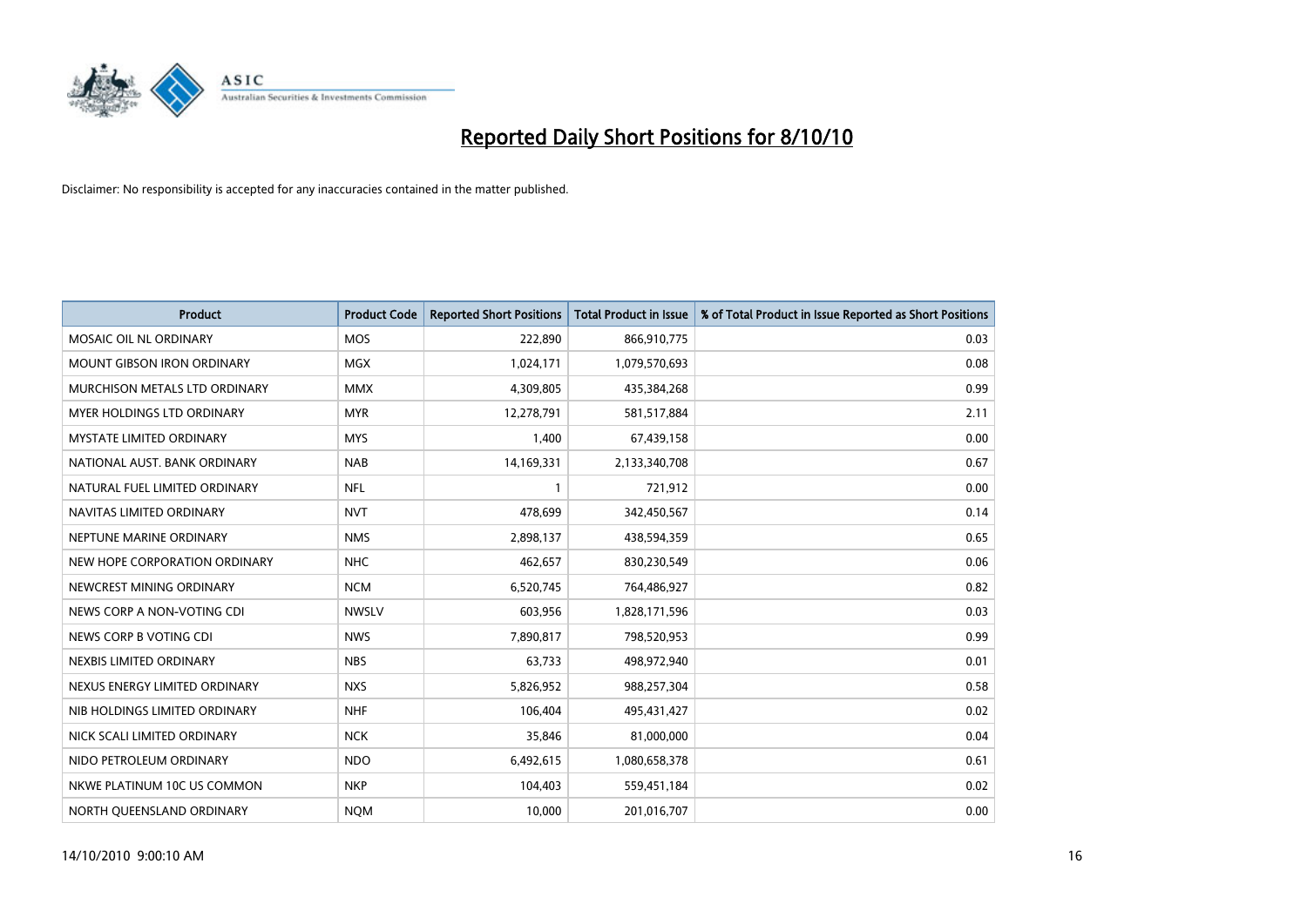

| <b>Product</b>                  | <b>Product Code</b> | <b>Reported Short Positions</b> | <b>Total Product in Issue</b> | % of Total Product in Issue Reported as Short Positions |
|---------------------------------|---------------------|---------------------------------|-------------------------------|---------------------------------------------------------|
| MOSAIC OIL NL ORDINARY          | <b>MOS</b>          | 222,890                         | 866,910,775                   | 0.03                                                    |
| MOUNT GIBSON IRON ORDINARY      | <b>MGX</b>          | 1,024,171                       | 1,079,570,693                 | 0.08                                                    |
| MURCHISON METALS LTD ORDINARY   | <b>MMX</b>          | 4,309,805                       | 435,384,268                   | 0.99                                                    |
| MYER HOLDINGS LTD ORDINARY      | <b>MYR</b>          | 12,278,791                      | 581,517,884                   | 2.11                                                    |
| <b>MYSTATE LIMITED ORDINARY</b> | <b>MYS</b>          | 1,400                           | 67,439,158                    | 0.00                                                    |
| NATIONAL AUST. BANK ORDINARY    | <b>NAB</b>          | 14,169,331                      | 2,133,340,708                 | 0.67                                                    |
| NATURAL FUEL LIMITED ORDINARY   | <b>NFL</b>          |                                 | 721,912                       | 0.00                                                    |
| NAVITAS LIMITED ORDINARY        | <b>NVT</b>          | 478,699                         | 342,450,567                   | 0.14                                                    |
| NEPTUNE MARINE ORDINARY         | <b>NMS</b>          | 2,898,137                       | 438,594,359                   | 0.65                                                    |
| NEW HOPE CORPORATION ORDINARY   | <b>NHC</b>          | 462,657                         | 830,230,549                   | 0.06                                                    |
| NEWCREST MINING ORDINARY        | <b>NCM</b>          | 6,520,745                       | 764,486,927                   | 0.82                                                    |
| NEWS CORP A NON-VOTING CDI      | <b>NWSLV</b>        | 603,956                         | 1,828,171,596                 | 0.03                                                    |
| NEWS CORP B VOTING CDI          | <b>NWS</b>          | 7,890,817                       | 798,520,953                   | 0.99                                                    |
| NEXBIS LIMITED ORDINARY         | <b>NBS</b>          | 63,733                          | 498,972,940                   | 0.01                                                    |
| NEXUS ENERGY LIMITED ORDINARY   | <b>NXS</b>          | 5,826,952                       | 988,257,304                   | 0.58                                                    |
| NIB HOLDINGS LIMITED ORDINARY   | <b>NHF</b>          | 106,404                         | 495,431,427                   | 0.02                                                    |
| NICK SCALI LIMITED ORDINARY     | <b>NCK</b>          | 35,846                          | 81,000,000                    | 0.04                                                    |
| NIDO PETROLEUM ORDINARY         | <b>NDO</b>          | 6,492,615                       | 1,080,658,378                 | 0.61                                                    |
| NKWE PLATINUM 10C US COMMON     | <b>NKP</b>          | 104,403                         | 559,451,184                   | 0.02                                                    |
| NORTH QUEENSLAND ORDINARY       | <b>NOM</b>          | 10,000                          | 201,016,707                   | 0.00                                                    |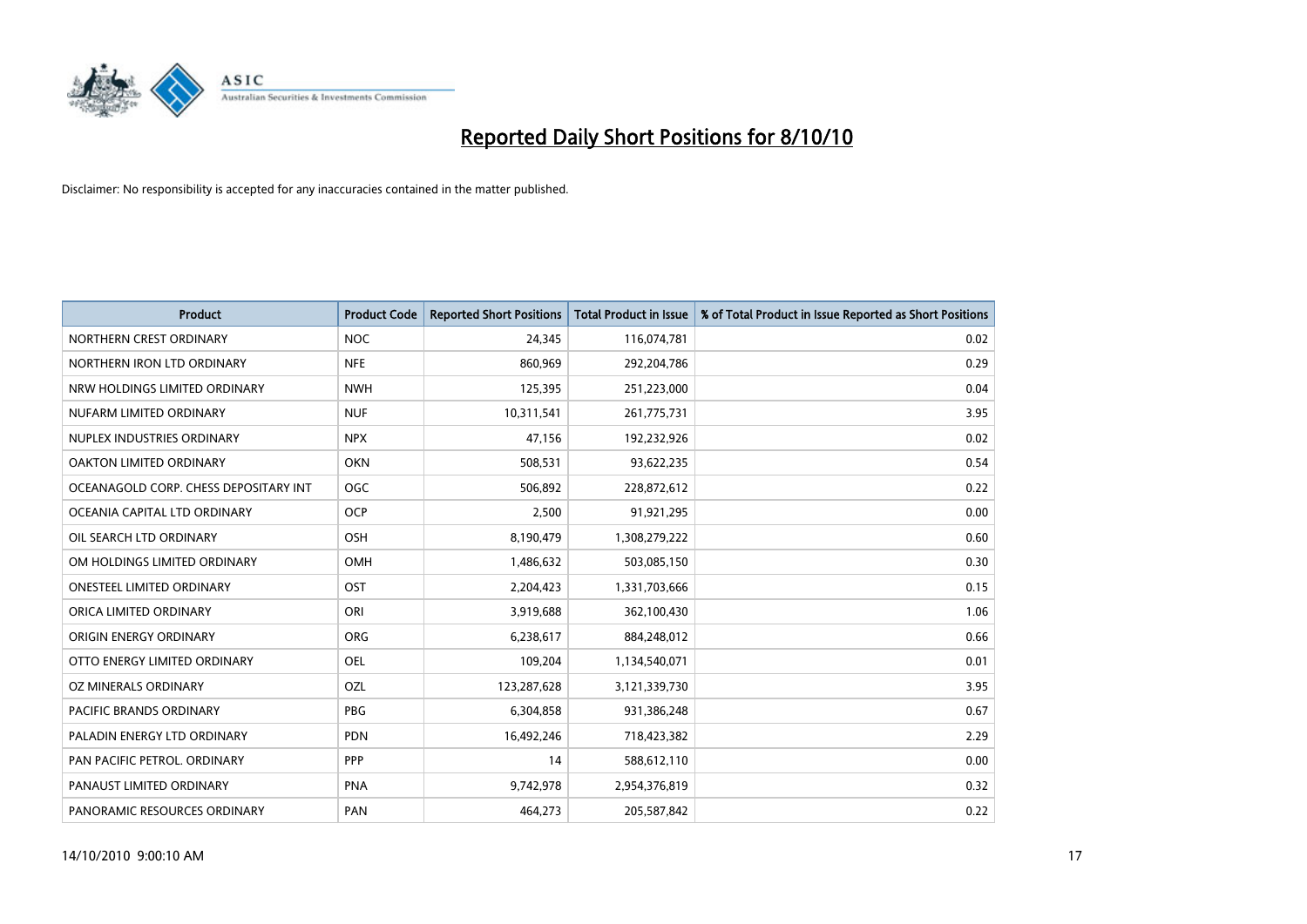

| <b>Product</b>                        | <b>Product Code</b> | <b>Reported Short Positions</b> | Total Product in Issue | % of Total Product in Issue Reported as Short Positions |
|---------------------------------------|---------------------|---------------------------------|------------------------|---------------------------------------------------------|
| NORTHERN CREST ORDINARY               | <b>NOC</b>          | 24,345                          | 116,074,781            | 0.02                                                    |
| NORTHERN IRON LTD ORDINARY            | <b>NFE</b>          | 860,969                         | 292,204,786            | 0.29                                                    |
| NRW HOLDINGS LIMITED ORDINARY         | <b>NWH</b>          | 125,395                         | 251,223,000            | 0.04                                                    |
| NUFARM LIMITED ORDINARY               | <b>NUF</b>          | 10,311,541                      | 261,775,731            | 3.95                                                    |
| NUPLEX INDUSTRIES ORDINARY            | <b>NPX</b>          | 47,156                          | 192,232,926            | 0.02                                                    |
| OAKTON LIMITED ORDINARY               | <b>OKN</b>          | 508,531                         | 93,622,235             | 0.54                                                    |
| OCEANAGOLD CORP. CHESS DEPOSITARY INT | <b>OGC</b>          | 506,892                         | 228,872,612            | 0.22                                                    |
| OCEANIA CAPITAL LTD ORDINARY          | <b>OCP</b>          | 2,500                           | 91,921,295             | 0.00                                                    |
| OIL SEARCH LTD ORDINARY               | OSH                 | 8,190,479                       | 1,308,279,222          | 0.60                                                    |
| OM HOLDINGS LIMITED ORDINARY          | OMH                 | 1,486,632                       | 503,085,150            | 0.30                                                    |
| ONESTEEL LIMITED ORDINARY             | OST                 | 2,204,423                       | 1,331,703,666          | 0.15                                                    |
| ORICA LIMITED ORDINARY                | ORI                 | 3,919,688                       | 362,100,430            | 1.06                                                    |
| ORIGIN ENERGY ORDINARY                | <b>ORG</b>          | 6,238,617                       | 884,248,012            | 0.66                                                    |
| OTTO ENERGY LIMITED ORDINARY          | OEL                 | 109,204                         | 1,134,540,071          | 0.01                                                    |
| OZ MINERALS ORDINARY                  | OZL                 | 123,287,628                     | 3,121,339,730          | 3.95                                                    |
| PACIFIC BRANDS ORDINARY               | <b>PBG</b>          | 6,304,858                       | 931,386,248            | 0.67                                                    |
| PALADIN ENERGY LTD ORDINARY           | PDN                 | 16,492,246                      | 718,423,382            | 2.29                                                    |
| PAN PACIFIC PETROL. ORDINARY          | PPP                 | 14                              | 588,612,110            | 0.00                                                    |
| PANAUST LIMITED ORDINARY              | PNA                 | 9,742,978                       | 2,954,376,819          | 0.32                                                    |
| PANORAMIC RESOURCES ORDINARY          | PAN                 | 464,273                         | 205,587,842            | 0.22                                                    |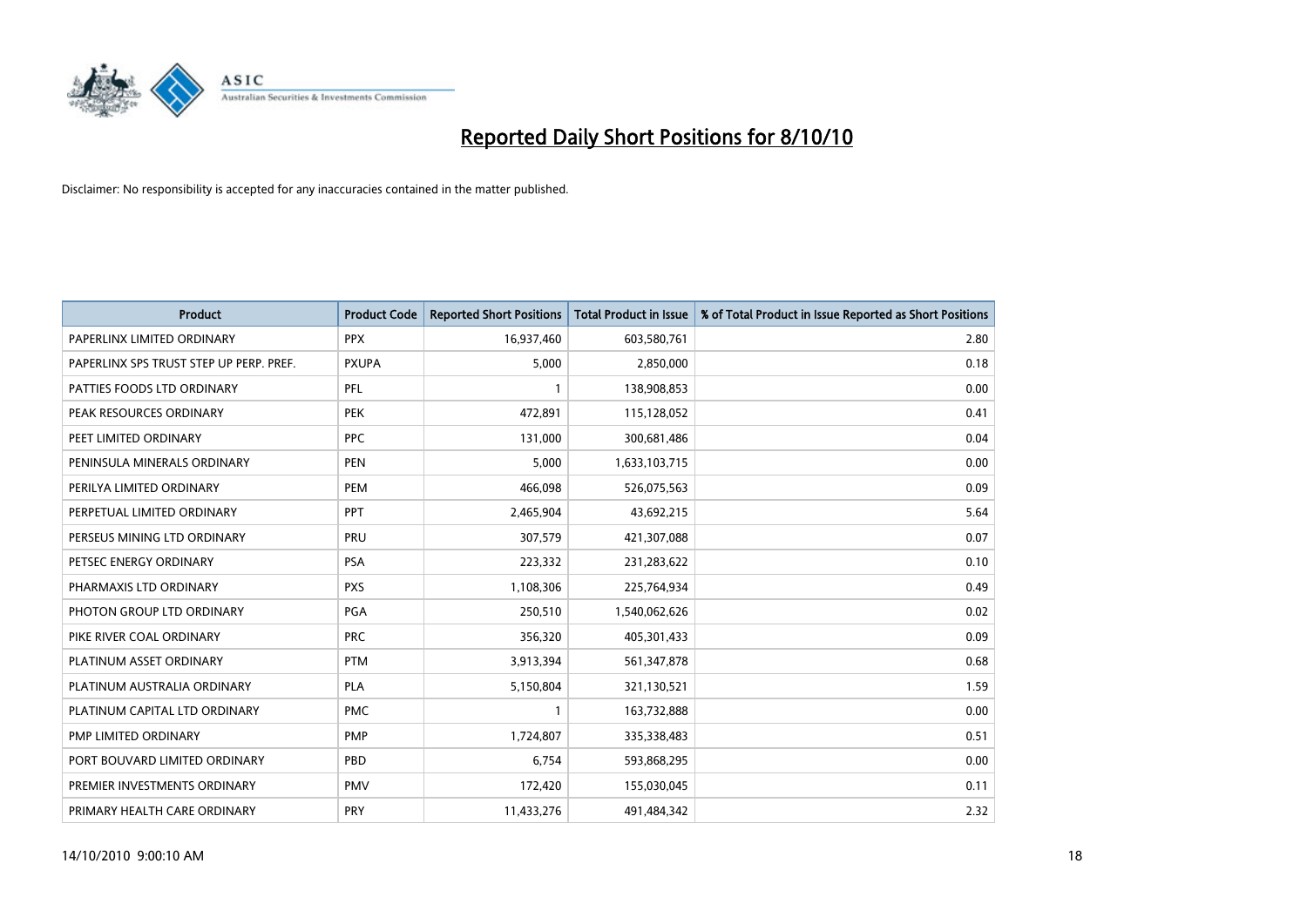

| <b>Product</b>                          | <b>Product Code</b> | <b>Reported Short Positions</b> | <b>Total Product in Issue</b> | % of Total Product in Issue Reported as Short Positions |
|-----------------------------------------|---------------------|---------------------------------|-------------------------------|---------------------------------------------------------|
| PAPERLINX LIMITED ORDINARY              | <b>PPX</b>          | 16,937,460                      | 603,580,761                   | 2.80                                                    |
| PAPERLINX SPS TRUST STEP UP PERP. PREF. | <b>PXUPA</b>        | 5,000                           | 2,850,000                     | 0.18                                                    |
| PATTIES FOODS LTD ORDINARY              | PFL                 |                                 | 138,908,853                   | 0.00                                                    |
| PEAK RESOURCES ORDINARY                 | <b>PEK</b>          | 472,891                         | 115,128,052                   | 0.41                                                    |
| PEET LIMITED ORDINARY                   | <b>PPC</b>          | 131,000                         | 300,681,486                   | 0.04                                                    |
| PENINSULA MINERALS ORDINARY             | <b>PEN</b>          | 5,000                           | 1,633,103,715                 | 0.00                                                    |
| PERILYA LIMITED ORDINARY                | <b>PEM</b>          | 466,098                         | 526,075,563                   | 0.09                                                    |
| PERPETUAL LIMITED ORDINARY              | PPT                 | 2,465,904                       | 43,692,215                    | 5.64                                                    |
| PERSEUS MINING LTD ORDINARY             | PRU                 | 307,579                         | 421,307,088                   | 0.07                                                    |
| PETSEC ENERGY ORDINARY                  | <b>PSA</b>          | 223,332                         | 231,283,622                   | 0.10                                                    |
| PHARMAXIS LTD ORDINARY                  | <b>PXS</b>          | 1,108,306                       | 225,764,934                   | 0.49                                                    |
| PHOTON GROUP LTD ORDINARY               | <b>PGA</b>          | 250,510                         | 1,540,062,626                 | 0.02                                                    |
| PIKE RIVER COAL ORDINARY                | <b>PRC</b>          | 356,320                         | 405,301,433                   | 0.09                                                    |
| PLATINUM ASSET ORDINARY                 | <b>PTM</b>          | 3,913,394                       | 561,347,878                   | 0.68                                                    |
| PLATINUM AUSTRALIA ORDINARY             | <b>PLA</b>          | 5,150,804                       | 321,130,521                   | 1.59                                                    |
| PLATINUM CAPITAL LTD ORDINARY           | <b>PMC</b>          |                                 | 163,732,888                   | 0.00                                                    |
| PMP LIMITED ORDINARY                    | <b>PMP</b>          | 1,724,807                       | 335,338,483                   | 0.51                                                    |
| PORT BOUVARD LIMITED ORDINARY           | PBD                 | 6,754                           | 593,868,295                   | 0.00                                                    |
| PREMIER INVESTMENTS ORDINARY            | <b>PMV</b>          | 172,420                         | 155,030,045                   | 0.11                                                    |
| PRIMARY HEALTH CARE ORDINARY            | PRY                 | 11,433,276                      | 491,484,342                   | 2.32                                                    |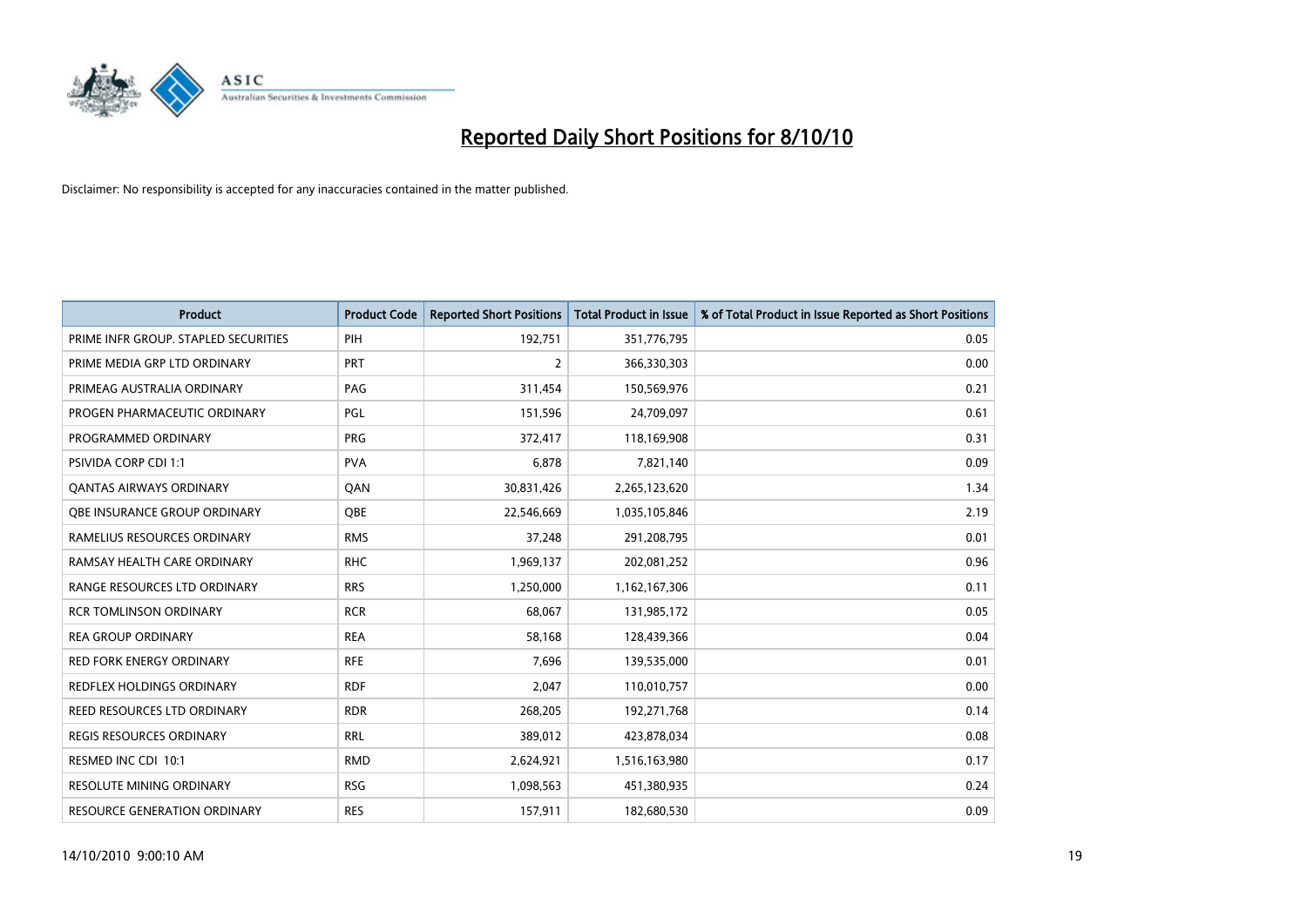

| <b>Product</b>                       | <b>Product Code</b> | <b>Reported Short Positions</b> | <b>Total Product in Issue</b> | % of Total Product in Issue Reported as Short Positions |
|--------------------------------------|---------------------|---------------------------------|-------------------------------|---------------------------------------------------------|
| PRIME INFR GROUP. STAPLED SECURITIES | PIH                 | 192,751                         | 351,776,795                   | 0.05                                                    |
| PRIME MEDIA GRP LTD ORDINARY         | <b>PRT</b>          | 2                               | 366,330,303                   | 0.00                                                    |
| PRIMEAG AUSTRALIA ORDINARY           | PAG                 | 311,454                         | 150,569,976                   | 0.21                                                    |
| PROGEN PHARMACEUTIC ORDINARY         | <b>PGL</b>          | 151,596                         | 24,709,097                    | 0.61                                                    |
| PROGRAMMED ORDINARY                  | <b>PRG</b>          | 372,417                         | 118,169,908                   | 0.31                                                    |
| <b>PSIVIDA CORP CDI 1:1</b>          | <b>PVA</b>          | 6,878                           | 7,821,140                     | 0.09                                                    |
| <b>QANTAS AIRWAYS ORDINARY</b>       | QAN                 | 30,831,426                      | 2,265,123,620                 | 1.34                                                    |
| <b>OBE INSURANCE GROUP ORDINARY</b>  | <b>OBE</b>          | 22,546,669                      | 1,035,105,846                 | 2.19                                                    |
| RAMELIUS RESOURCES ORDINARY          | <b>RMS</b>          | 37,248                          | 291,208,795                   | 0.01                                                    |
| RAMSAY HEALTH CARE ORDINARY          | <b>RHC</b>          | 1,969,137                       | 202,081,252                   | 0.96                                                    |
| RANGE RESOURCES LTD ORDINARY         | <b>RRS</b>          | 1,250,000                       | 1,162,167,306                 | 0.11                                                    |
| <b>RCR TOMLINSON ORDINARY</b>        | <b>RCR</b>          | 68,067                          | 131,985,172                   | 0.05                                                    |
| <b>REA GROUP ORDINARY</b>            | <b>REA</b>          | 58,168                          | 128,439,366                   | 0.04                                                    |
| <b>RED FORK ENERGY ORDINARY</b>      | <b>RFE</b>          | 7,696                           | 139,535,000                   | 0.01                                                    |
| <b>REDFLEX HOLDINGS ORDINARY</b>     | <b>RDF</b>          | 2,047                           | 110,010,757                   | 0.00                                                    |
| REED RESOURCES LTD ORDINARY          | <b>RDR</b>          | 268,205                         | 192,271,768                   | 0.14                                                    |
| <b>REGIS RESOURCES ORDINARY</b>      | <b>RRL</b>          | 389,012                         | 423,878,034                   | 0.08                                                    |
| RESMED INC CDI 10:1                  | <b>RMD</b>          | 2,624,921                       | 1,516,163,980                 | 0.17                                                    |
| <b>RESOLUTE MINING ORDINARY</b>      | <b>RSG</b>          | 1,098,563                       | 451,380,935                   | 0.24                                                    |
| RESOURCE GENERATION ORDINARY         | <b>RES</b>          | 157,911                         | 182,680,530                   | 0.09                                                    |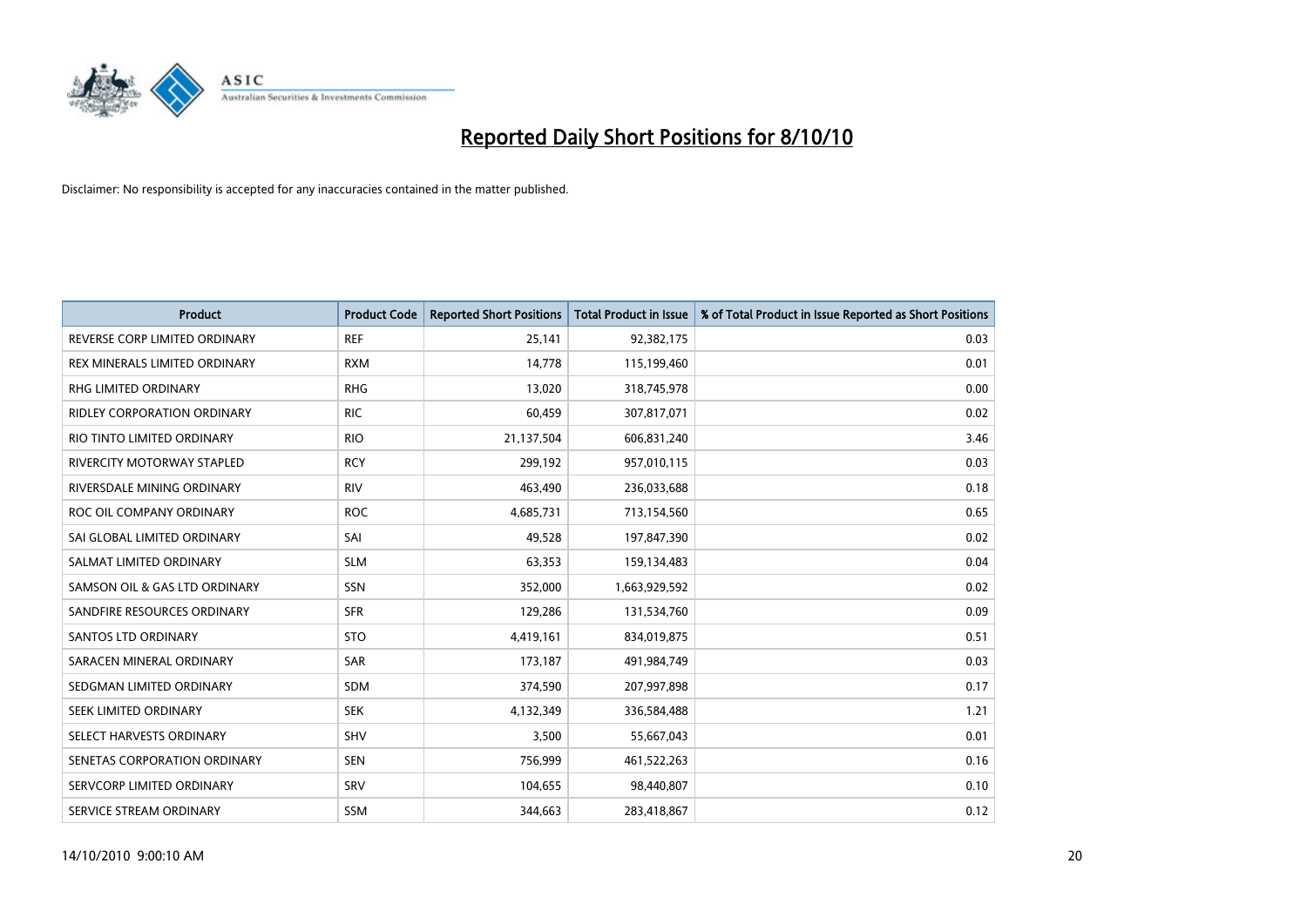

| <b>Product</b>                     | <b>Product Code</b> | <b>Reported Short Positions</b> | Total Product in Issue | % of Total Product in Issue Reported as Short Positions |
|------------------------------------|---------------------|---------------------------------|------------------------|---------------------------------------------------------|
| REVERSE CORP LIMITED ORDINARY      | <b>REF</b>          | 25,141                          | 92,382,175             | 0.03                                                    |
| REX MINERALS LIMITED ORDINARY      | <b>RXM</b>          | 14,778                          | 115,199,460            | 0.01                                                    |
| RHG LIMITED ORDINARY               | <b>RHG</b>          | 13,020                          | 318,745,978            | 0.00                                                    |
| <b>RIDLEY CORPORATION ORDINARY</b> | <b>RIC</b>          | 60,459                          | 307,817,071            | 0.02                                                    |
| RIO TINTO LIMITED ORDINARY         | <b>RIO</b>          | 21,137,504                      | 606,831,240            | 3.46                                                    |
| <b>RIVERCITY MOTORWAY STAPLED</b>  | <b>RCY</b>          | 299,192                         | 957,010,115            | 0.03                                                    |
| RIVERSDALE MINING ORDINARY         | <b>RIV</b>          | 463,490                         | 236,033,688            | 0.18                                                    |
| ROC OIL COMPANY ORDINARY           | <b>ROC</b>          | 4,685,731                       | 713,154,560            | 0.65                                                    |
| SAI GLOBAL LIMITED ORDINARY        | SAI                 | 49,528                          | 197,847,390            | 0.02                                                    |
| SALMAT LIMITED ORDINARY            | <b>SLM</b>          | 63,353                          | 159,134,483            | 0.04                                                    |
| SAMSON OIL & GAS LTD ORDINARY      | SSN                 | 352,000                         | 1,663,929,592          | 0.02                                                    |
| SANDFIRE RESOURCES ORDINARY        | <b>SFR</b>          | 129,286                         | 131,534,760            | 0.09                                                    |
| <b>SANTOS LTD ORDINARY</b>         | <b>STO</b>          | 4,419,161                       | 834,019,875            | 0.51                                                    |
| SARACEN MINERAL ORDINARY           | SAR                 | 173,187                         | 491,984,749            | 0.03                                                    |
| SEDGMAN LIMITED ORDINARY           | <b>SDM</b>          | 374,590                         | 207,997,898            | 0.17                                                    |
| SEEK LIMITED ORDINARY              | <b>SEK</b>          | 4,132,349                       | 336,584,488            | 1.21                                                    |
| SELECT HARVESTS ORDINARY           | SHV                 | 3,500                           | 55,667,043             | 0.01                                                    |
| SENETAS CORPORATION ORDINARY       | <b>SEN</b>          | 756,999                         | 461,522,263            | 0.16                                                    |
| SERVCORP LIMITED ORDINARY          | SRV                 | 104,655                         | 98,440,807             | 0.10                                                    |
| SERVICE STREAM ORDINARY            | <b>SSM</b>          | 344,663                         | 283,418,867            | 0.12                                                    |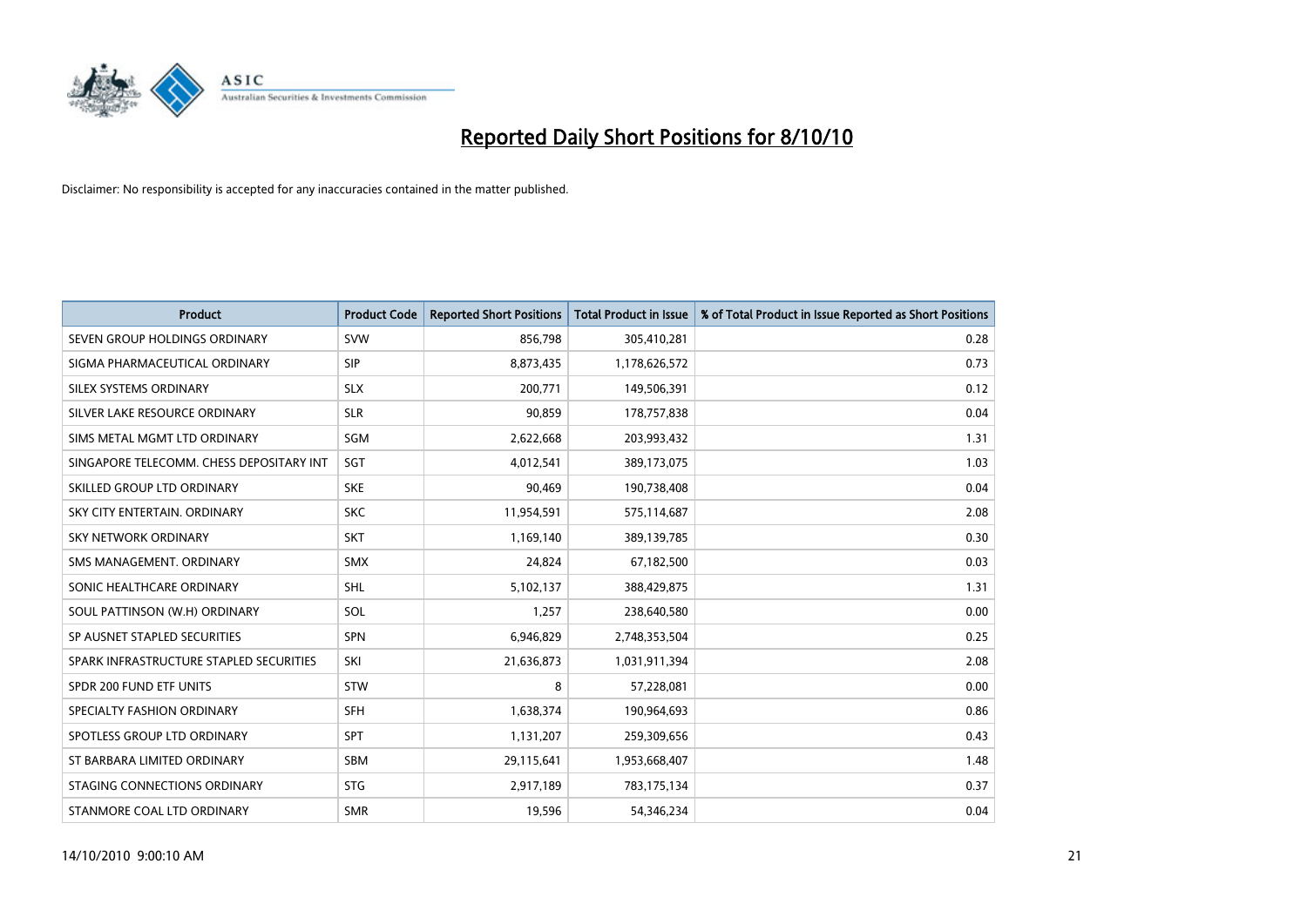

| <b>Product</b>                           | <b>Product Code</b> | <b>Reported Short Positions</b> | <b>Total Product in Issue</b> | % of Total Product in Issue Reported as Short Positions |
|------------------------------------------|---------------------|---------------------------------|-------------------------------|---------------------------------------------------------|
| SEVEN GROUP HOLDINGS ORDINARY            | <b>SVW</b>          | 856,798                         | 305,410,281                   | 0.28                                                    |
| SIGMA PHARMACEUTICAL ORDINARY            | <b>SIP</b>          | 8,873,435                       | 1,178,626,572                 | 0.73                                                    |
| SILEX SYSTEMS ORDINARY                   | <b>SLX</b>          | 200,771                         | 149,506,391                   | 0.12                                                    |
| SILVER LAKE RESOURCE ORDINARY            | <b>SLR</b>          | 90,859                          | 178,757,838                   | 0.04                                                    |
| SIMS METAL MGMT LTD ORDINARY             | SGM                 | 2,622,668                       | 203,993,432                   | 1.31                                                    |
| SINGAPORE TELECOMM. CHESS DEPOSITARY INT | SGT                 | 4,012,541                       | 389,173,075                   | 1.03                                                    |
| SKILLED GROUP LTD ORDINARY               | <b>SKE</b>          | 90,469                          | 190,738,408                   | 0.04                                                    |
| SKY CITY ENTERTAIN, ORDINARY             | <b>SKC</b>          | 11,954,591                      | 575,114,687                   | 2.08                                                    |
| SKY NETWORK ORDINARY                     | <b>SKT</b>          | 1,169,140                       | 389,139,785                   | 0.30                                                    |
| SMS MANAGEMENT, ORDINARY                 | <b>SMX</b>          | 24,824                          | 67,182,500                    | 0.03                                                    |
| SONIC HEALTHCARE ORDINARY                | <b>SHL</b>          | 5,102,137                       | 388,429,875                   | 1.31                                                    |
| SOUL PATTINSON (W.H) ORDINARY            | SOL                 | 1,257                           | 238,640,580                   | 0.00                                                    |
| SP AUSNET STAPLED SECURITIES             | SPN                 | 6,946,829                       | 2,748,353,504                 | 0.25                                                    |
| SPARK INFRASTRUCTURE STAPLED SECURITIES  | SKI                 | 21,636,873                      | 1,031,911,394                 | 2.08                                                    |
| SPDR 200 FUND ETF UNITS                  | STW                 | 8                               | 57,228,081                    | 0.00                                                    |
| SPECIALTY FASHION ORDINARY               | <b>SFH</b>          | 1,638,374                       | 190,964,693                   | 0.86                                                    |
| SPOTLESS GROUP LTD ORDINARY              | SPT                 | 1,131,207                       | 259,309,656                   | 0.43                                                    |
| ST BARBARA LIMITED ORDINARY              | <b>SBM</b>          | 29,115,641                      | 1,953,668,407                 | 1.48                                                    |
| STAGING CONNECTIONS ORDINARY             | <b>STG</b>          | 2,917,189                       | 783,175,134                   | 0.37                                                    |
| STANMORE COAL LTD ORDINARY               | <b>SMR</b>          | 19,596                          | 54,346,234                    | 0.04                                                    |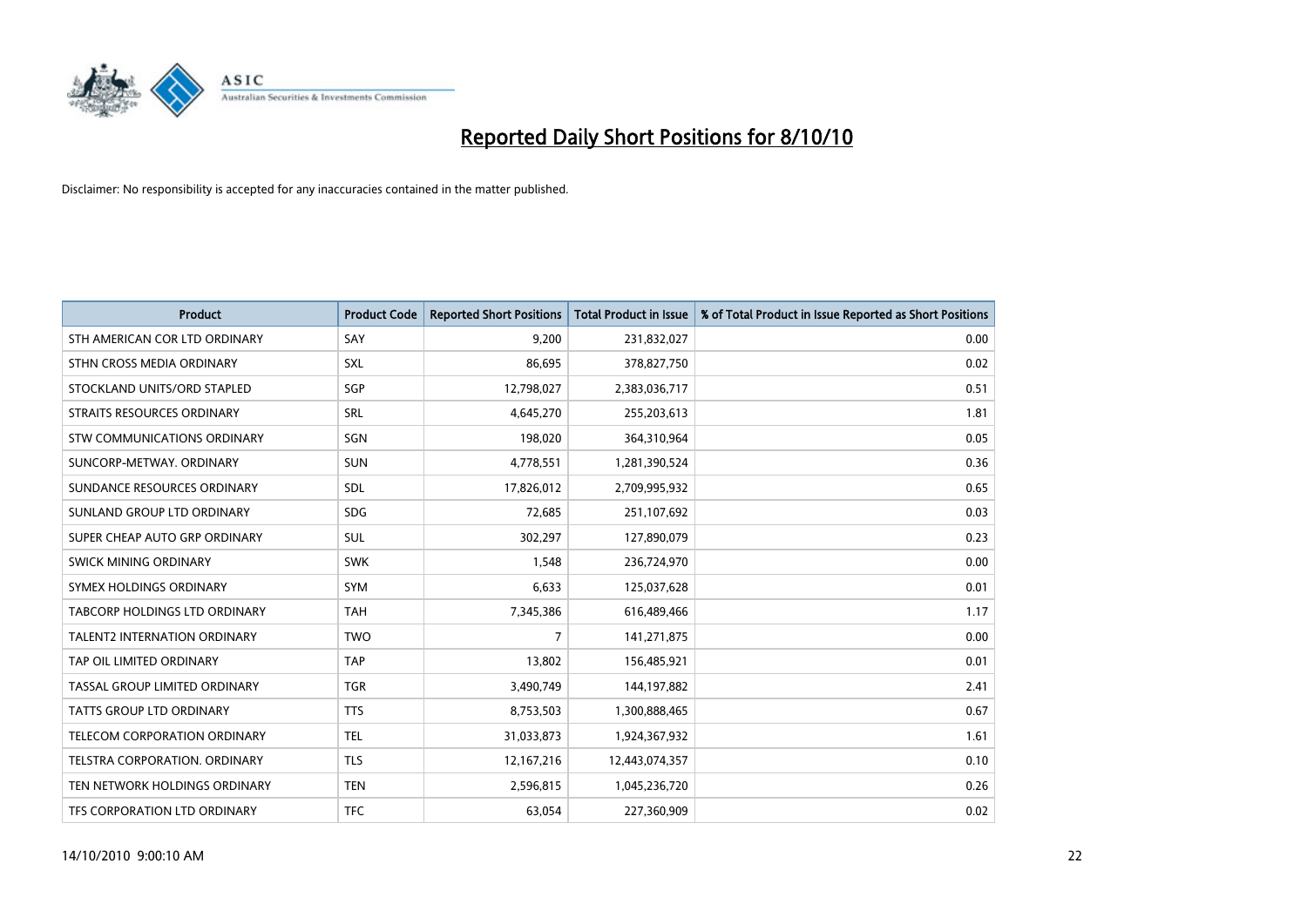

| <b>Product</b>                | <b>Product Code</b> | <b>Reported Short Positions</b> | <b>Total Product in Issue</b> | % of Total Product in Issue Reported as Short Positions |
|-------------------------------|---------------------|---------------------------------|-------------------------------|---------------------------------------------------------|
| STH AMERICAN COR LTD ORDINARY | SAY                 | 9,200                           | 231,832,027                   | 0.00                                                    |
| STHN CROSS MEDIA ORDINARY     | SXL                 | 86,695                          | 378,827,750                   | 0.02                                                    |
| STOCKLAND UNITS/ORD STAPLED   | SGP                 | 12,798,027                      | 2,383,036,717                 | 0.51                                                    |
| STRAITS RESOURCES ORDINARY    | SRL                 | 4,645,270                       | 255,203,613                   | 1.81                                                    |
| STW COMMUNICATIONS ORDINARY   | SGN                 | 198,020                         | 364,310,964                   | 0.05                                                    |
| SUNCORP-METWAY, ORDINARY      | <b>SUN</b>          | 4,778,551                       | 1,281,390,524                 | 0.36                                                    |
| SUNDANCE RESOURCES ORDINARY   | <b>SDL</b>          | 17,826,012                      | 2,709,995,932                 | 0.65                                                    |
| SUNLAND GROUP LTD ORDINARY    | <b>SDG</b>          | 72,685                          | 251,107,692                   | 0.03                                                    |
| SUPER CHEAP AUTO GRP ORDINARY | <b>SUL</b>          | 302,297                         | 127,890,079                   | 0.23                                                    |
| SWICK MINING ORDINARY         | <b>SWK</b>          | 1,548                           | 236,724,970                   | 0.00                                                    |
| SYMEX HOLDINGS ORDINARY       | SYM                 | 6,633                           | 125,037,628                   | 0.01                                                    |
| TABCORP HOLDINGS LTD ORDINARY | <b>TAH</b>          | 7,345,386                       | 616,489,466                   | 1.17                                                    |
| TALENT2 INTERNATION ORDINARY  | <b>TWO</b>          | $\overline{7}$                  | 141,271,875                   | 0.00                                                    |
| TAP OIL LIMITED ORDINARY      | <b>TAP</b>          | 13,802                          | 156,485,921                   | 0.01                                                    |
| TASSAL GROUP LIMITED ORDINARY | <b>TGR</b>          | 3,490,749                       | 144,197,882                   | 2.41                                                    |
| TATTS GROUP LTD ORDINARY      | <b>TTS</b>          | 8,753,503                       | 1,300,888,465                 | 0.67                                                    |
| TELECOM CORPORATION ORDINARY  | <b>TEL</b>          | 31,033,873                      | 1,924,367,932                 | 1.61                                                    |
| TELSTRA CORPORATION. ORDINARY | <b>TLS</b>          | 12,167,216                      | 12,443,074,357                | 0.10                                                    |
| TEN NETWORK HOLDINGS ORDINARY | <b>TEN</b>          | 2,596,815                       | 1,045,236,720                 | 0.26                                                    |
| TFS CORPORATION LTD ORDINARY  | <b>TFC</b>          | 63,054                          | 227,360,909                   | 0.02                                                    |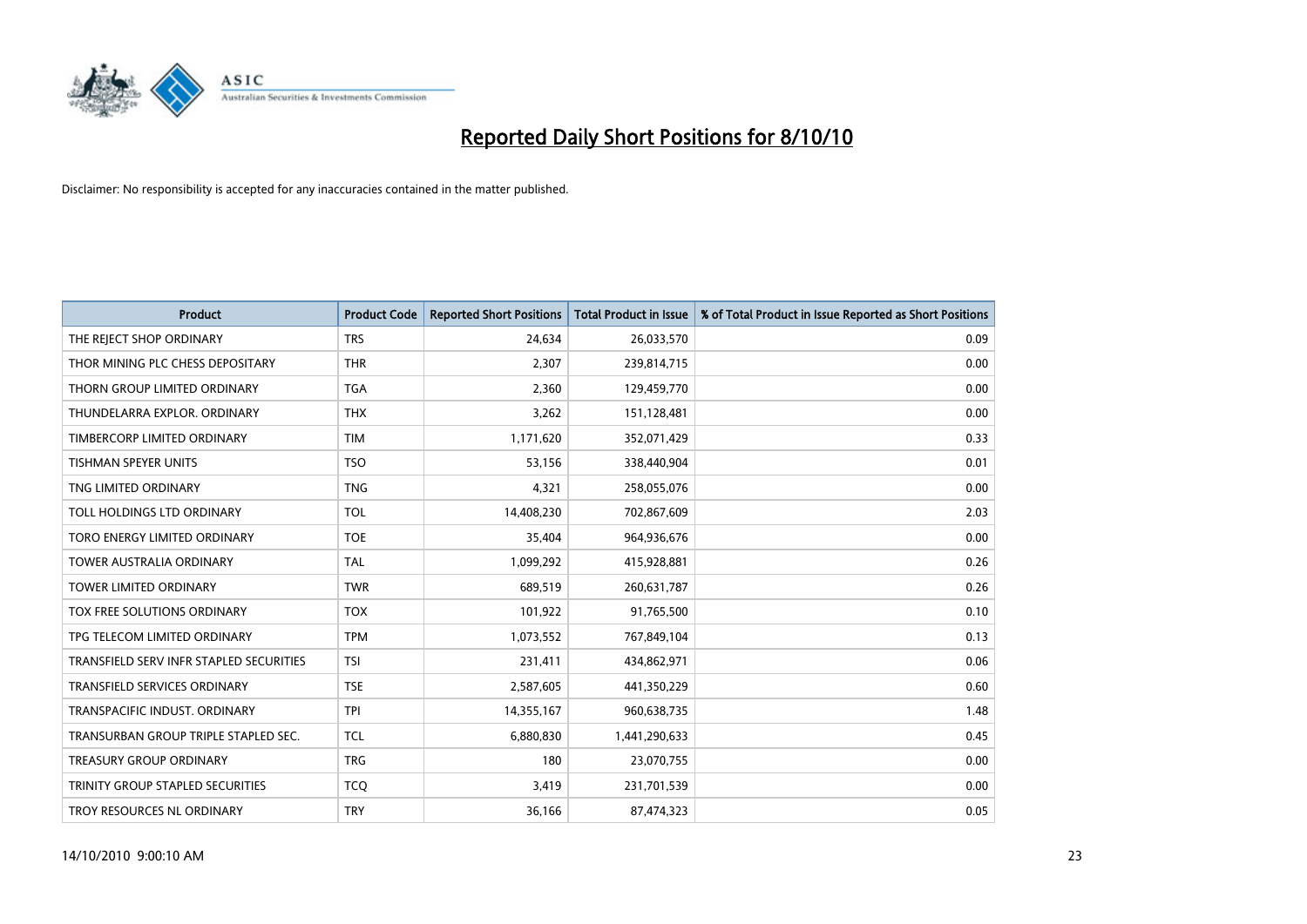

| <b>Product</b>                          | <b>Product Code</b> | <b>Reported Short Positions</b> | Total Product in Issue | % of Total Product in Issue Reported as Short Positions |
|-----------------------------------------|---------------------|---------------------------------|------------------------|---------------------------------------------------------|
| THE REJECT SHOP ORDINARY                | <b>TRS</b>          | 24,634                          | 26,033,570             | 0.09                                                    |
| THOR MINING PLC CHESS DEPOSITARY        | <b>THR</b>          | 2,307                           | 239,814,715            | 0.00                                                    |
| THORN GROUP LIMITED ORDINARY            | <b>TGA</b>          | 2,360                           | 129,459,770            | 0.00                                                    |
| THUNDELARRA EXPLOR. ORDINARY            | <b>THX</b>          | 3,262                           | 151,128,481            | 0.00                                                    |
| TIMBERCORP LIMITED ORDINARY             | <b>TIM</b>          | 1,171,620                       | 352,071,429            | 0.33                                                    |
| <b>TISHMAN SPEYER UNITS</b>             | <b>TSO</b>          | 53,156                          | 338,440,904            | 0.01                                                    |
| TNG LIMITED ORDINARY                    | <b>TNG</b>          | 4,321                           | 258,055,076            | 0.00                                                    |
| TOLL HOLDINGS LTD ORDINARY              | <b>TOL</b>          | 14,408,230                      | 702,867,609            | 2.03                                                    |
| TORO ENERGY LIMITED ORDINARY            | <b>TOE</b>          | 35,404                          | 964,936,676            | 0.00                                                    |
| <b>TOWER AUSTRALIA ORDINARY</b>         | <b>TAL</b>          | 1,099,292                       | 415,928,881            | 0.26                                                    |
| TOWER LIMITED ORDINARY                  | <b>TWR</b>          | 689,519                         | 260,631,787            | 0.26                                                    |
| TOX FREE SOLUTIONS ORDINARY             | <b>TOX</b>          | 101,922                         | 91,765,500             | 0.10                                                    |
| TPG TELECOM LIMITED ORDINARY            | <b>TPM</b>          | 1,073,552                       | 767,849,104            | 0.13                                                    |
| TRANSFIELD SERV INFR STAPLED SECURITIES | <b>TSI</b>          | 231,411                         | 434,862,971            | 0.06                                                    |
| <b>TRANSFIELD SERVICES ORDINARY</b>     | <b>TSE</b>          | 2,587,605                       | 441,350,229            | 0.60                                                    |
| TRANSPACIFIC INDUST. ORDINARY           | <b>TPI</b>          | 14,355,167                      | 960,638,735            | 1.48                                                    |
| TRANSURBAN GROUP TRIPLE STAPLED SEC.    | <b>TCL</b>          | 6,880,830                       | 1,441,290,633          | 0.45                                                    |
| TREASURY GROUP ORDINARY                 | <b>TRG</b>          | 180                             | 23,070,755             | 0.00                                                    |
| TRINITY GROUP STAPLED SECURITIES        | <b>TCO</b>          | 3,419                           | 231,701,539            | 0.00                                                    |
| TROY RESOURCES NL ORDINARY              | <b>TRY</b>          | 36,166                          | 87,474,323             | 0.05                                                    |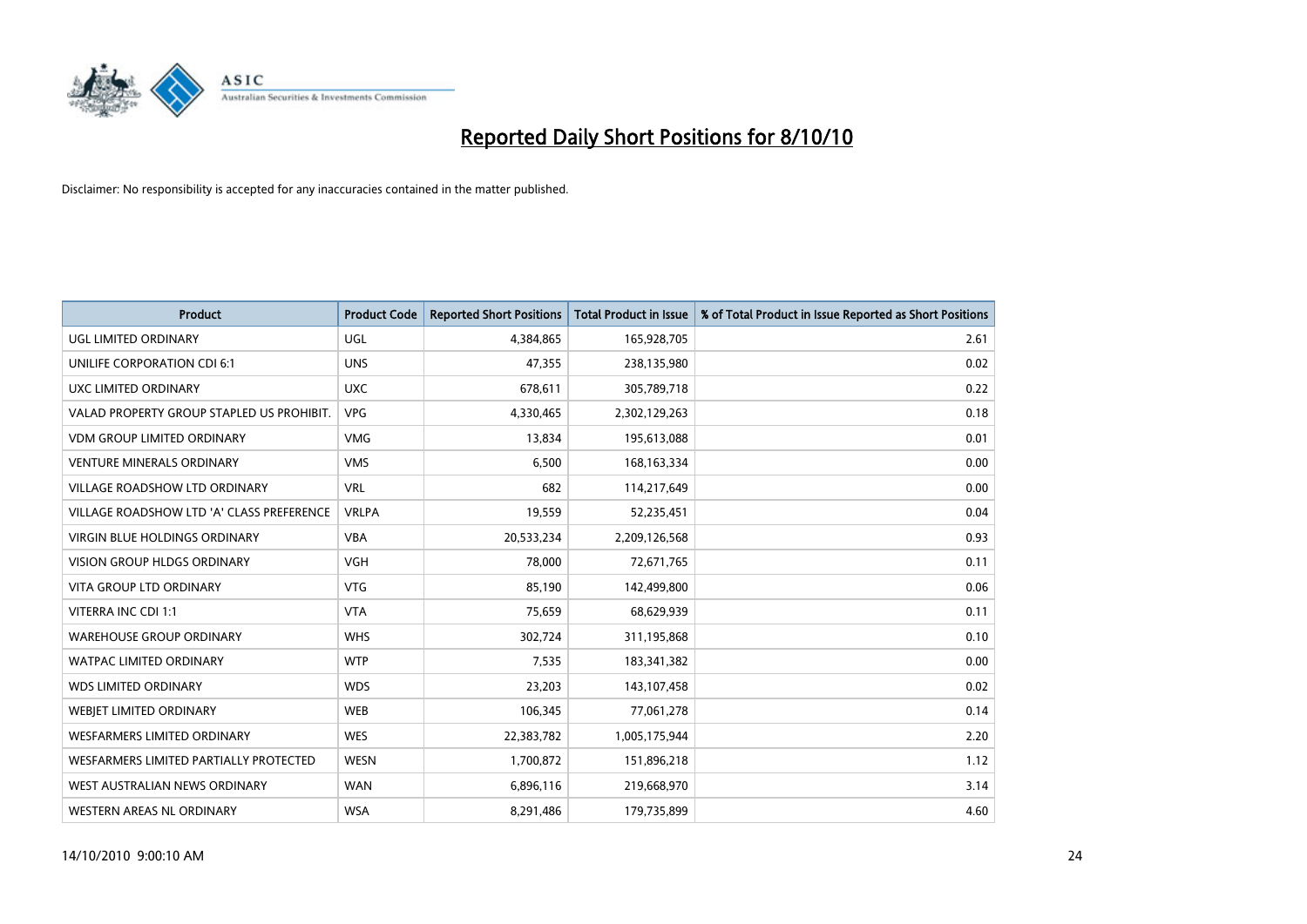

| <b>Product</b>                            | <b>Product Code</b> | <b>Reported Short Positions</b> | <b>Total Product in Issue</b> | % of Total Product in Issue Reported as Short Positions |
|-------------------------------------------|---------------------|---------------------------------|-------------------------------|---------------------------------------------------------|
| <b>UGL LIMITED ORDINARY</b>               | UGL                 | 4,384,865                       | 165,928,705                   | 2.61                                                    |
| UNILIFE CORPORATION CDI 6:1               | <b>UNS</b>          | 47,355                          | 238,135,980                   | 0.02                                                    |
| UXC LIMITED ORDINARY                      | <b>UXC</b>          | 678.611                         | 305,789,718                   | 0.22                                                    |
| VALAD PROPERTY GROUP STAPLED US PROHIBIT. | <b>VPG</b>          | 4,330,465                       | 2,302,129,263                 | 0.18                                                    |
| <b>VDM GROUP LIMITED ORDINARY</b>         | <b>VMG</b>          | 13,834                          | 195,613,088                   | 0.01                                                    |
| <b>VENTURE MINERALS ORDINARY</b>          | <b>VMS</b>          | 6,500                           | 168, 163, 334                 | 0.00                                                    |
| VILLAGE ROADSHOW LTD ORDINARY             | <b>VRL</b>          | 682                             | 114,217,649                   | 0.00                                                    |
| VILLAGE ROADSHOW LTD 'A' CLASS PREFERENCE | <b>VRLPA</b>        | 19,559                          | 52,235,451                    | 0.04                                                    |
| <b>VIRGIN BLUE HOLDINGS ORDINARY</b>      | <b>VBA</b>          | 20,533,234                      | 2,209,126,568                 | 0.93                                                    |
| <b>VISION GROUP HLDGS ORDINARY</b>        | <b>VGH</b>          | 78,000                          | 72,671,765                    | 0.11                                                    |
| VITA GROUP LTD ORDINARY                   | <b>VTG</b>          | 85,190                          | 142,499,800                   | 0.06                                                    |
| VITERRA INC CDI 1:1                       | <b>VTA</b>          | 75,659                          | 68,629,939                    | 0.11                                                    |
| <b>WAREHOUSE GROUP ORDINARY</b>           | <b>WHS</b>          | 302,724                         | 311,195,868                   | 0.10                                                    |
| <b>WATPAC LIMITED ORDINARY</b>            | <b>WTP</b>          | 7,535                           | 183,341,382                   | 0.00                                                    |
| <b>WDS LIMITED ORDINARY</b>               | <b>WDS</b>          | 23,203                          | 143,107,458                   | 0.02                                                    |
| <b>WEBIET LIMITED ORDINARY</b>            | <b>WEB</b>          | 106,345                         | 77,061,278                    | 0.14                                                    |
| WESFARMERS LIMITED ORDINARY               | <b>WES</b>          | 22,383,782                      | 1,005,175,944                 | 2.20                                                    |
| WESFARMERS LIMITED PARTIALLY PROTECTED    | <b>WESN</b>         | 1,700,872                       | 151,896,218                   | 1.12                                                    |
| WEST AUSTRALIAN NEWS ORDINARY             | <b>WAN</b>          | 6,896,116                       | 219,668,970                   | 3.14                                                    |
| WESTERN AREAS NL ORDINARY                 | <b>WSA</b>          | 8,291,486                       | 179,735,899                   | 4.60                                                    |